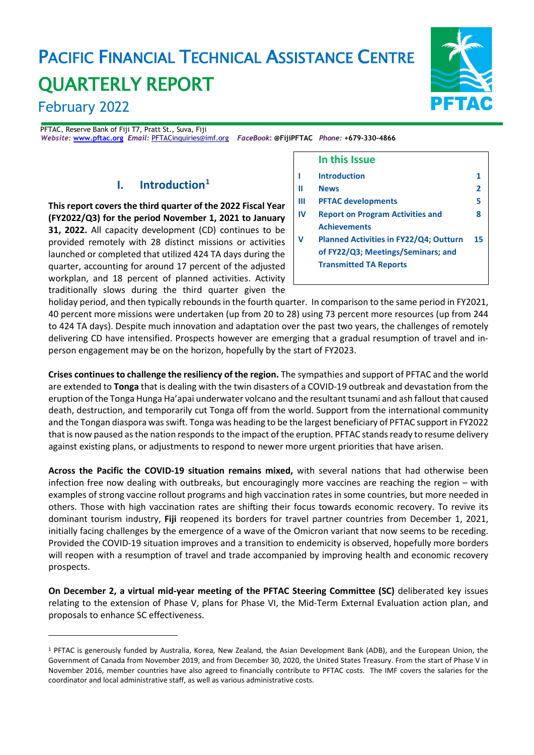# PACIFIC FINANCIAL TECHNICAL ASSISTANCE CENTRE QUARTERLY REPORT



PFTAC, Reserve Bank of Fiji T7, Pratt St., Suva, Fiji *Website:* **[www.pftac.org](http://www.pftac.org/)** *Email:* [PFTACinquiries@imf.org](mailto:PFTACinquiries@imf.org)*FaceBook***: @FijiPFTAC** *Phone:* **+679-330-4866**

### **I. Introduction[1](#page-0-0)**

**This report covers the third quarter of the 2022 Fiscal Year (FY2022/Q3) for the period November 1, 2021 to January 31, 2022.** All capacity development (CD) continues to be provided remotely with 28 distinct missions or activities launched or completed that utilized 424 TA days during the quarter, accounting for around 17 percent of the adjusted workplan, and 18 percent of planned activities. Activity traditionally slows during the third quarter given the



#### **In this Issue I Introduction 1 II News 2 III PFTAC developments 5 IV Report on Program Activities and Achievements 8 V Planned Activities in FY22/Q4; Outturn of FY22/Q3; Meetings/Seminars; and Transmitted TA Reports 15**

holiday period, and then typically rebounds in the fourth quarter. In comparison to the same period in FY2021, 40 percent more missions were undertaken (up from 20 to 28) using 73 percent more resources (up from 244 to 424 TA days). Despite much innovation and adaptation over the past two years, the challenges of remotely delivering CD have intensified. Prospects however are emerging that a gradual resumption of travel and inperson engagement may be on the horizon, hopefully by the start of FY2023.

**Crises continues to challenge the resiliency of the region.** The sympathies and support of PFTAC and the world are extended to **Tonga** that is dealing with the twin disasters of a COVID-19 outbreak and devastation from the eruption of the Tonga Hunga Ha'apai underwater volcano and the resultant tsunami and ash fallout that caused death, destruction, and temporarily cut Tonga off from the world. Support from the international community and the Tongan diaspora was swift. Tonga was heading to be the largest beneficiary of PFTAC support in FY2022 that is now paused as the nation responds to the impact of the eruption. PFTAC stands ready to resume delivery against existing plans, or adjustments to respond to newer more urgent priorities that have arisen.

**Across the Pacific the COVID-19 situation remains mixed,** with several nations that had otherwise been infection free now dealing with outbreaks, but encouragingly more vaccines are reaching the region – with examples of strong vaccine rollout programs and high vaccination rates in some countries, but more needed in others. Those with high vaccination rates are shifting their focus towards economic recovery. To revive its dominant tourism industry, **Fiji** reopened its borders for travel partner countries from December 1, 2021, initially facing challenges by the emergence of a wave of the Omicron variant that now seems to be receding. Provided the COVID-19 situation improves and a transition to endemicity is observed, hopefully more borders will reopen with a resumption of travel and trade accompanied by improving health and economic recovery prospects.

**On December 2, a virtual mid-year meeting of the PFTAC Steering Committee (SC)** deliberated key issues relating to the extension of Phase V, plans for Phase VI, the Mid-Term External Evaluation action plan, and proposals to enhance SC effectiveness.

<span id="page-0-0"></span><sup>1</sup> PFTAC is generously funded by Australia, Korea, New Zealand, the Asian Development Bank (ADB), and the European Union, the Government of Canada from November 2019, and from December 30, 2020, the United States Treasury. From the start of Phase V in November 2016, member countries have also agreed to financially contribute to PFTAC costs. The IMF covers the salaries for the coordinator and local administrative staff, as well as various administrative costs.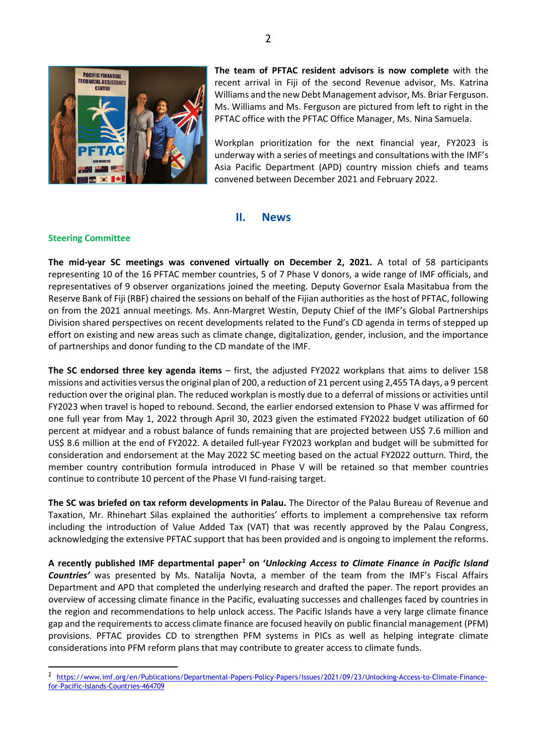

**The team of PFTAC resident advisors is now complete** with the recent arrival in Fiji of the second Revenue advisor, Ms. Katrina Williams and the new Debt Management advisor, Ms. Briar Ferguson. Ms. Williams and Ms. Ferguson are pictured from left to right in the PFTAC office with the PFTAC Office Manager, Ms. Nina Samuela.

Workplan prioritization for the next financial year, FY2023 is underway with a series of meetings and consultations with the IMF's Asia Pacific Department (APD) country mission chiefs and teams convened between December 2021 and February 2022.

#### **II. News**

#### **Steering Committee**

**The mid-year SC meetings was convened virtually on December 2, 2021.** A total of 58 participants representing 10 of the 16 PFTAC member countries, 5 of 7 Phase V donors, a wide range of IMF officials, and representatives of 9 observer organizations joined the meeting. Deputy Governor Esala Masitabua from the Reserve Bank of Fiji (RBF) chaired the sessions on behalf of the Fijian authorities as the host of PFTAC, following on from the 2021 annual meetings. Ms. Ann-Margret Westin, Deputy Chief of the IMF's Global Partnerships Division shared perspectives on recent developments related to the Fund's CD agenda in terms of stepped up effort on existing and new areas such as climate change, digitalization, gender, inclusion, and the importance of partnerships and donor funding to the CD mandate of the IMF.

**The SC endorsed three key agenda items** – first, the adjusted FY2022 workplans that aims to deliver 158 missions and activities versus the original plan of 200, a reduction of 21 percent using 2,455 TA days, a 9 percent reduction over the original plan. The reduced workplan is mostly due to a deferral of missions or activities until FY2023 when travel is hoped to rebound. Second, the earlier endorsed extension to Phase V was affirmed for one full year from May 1, 2022 through April 30, 2023 given the estimated FY2022 budget utilization of 60 percent at midyear and a robust balance of funds remaining that are projected between US\$ 7.6 million and US\$ 8.6 million at the end of FY2022. A detailed full-year FY2023 workplan and budget will be submitted for consideration and endorsement at the May 2022 SC meeting based on the actual FY2022 outturn. Third, the member country contribution formula introduced in Phase V will be retained so that member countries continue to contribute 10 percent of the Phase VI fund-raising target.

**The SC was briefed on tax reform developments in Palau.** The Director of the Palau Bureau of Revenue and Taxation, Mr. Rhinehart Silas explained the authorities' efforts to implement a comprehensive tax reform including the introduction of Value Added Tax (VAT) that was recently approved by the Palau Congress, acknowledging the extensive PFTAC support that has been provided and is ongoing to implement the reforms.

**A recently published IMF departmental paper[2](#page-1-0) on '***Unlocking Access to Climate Finance in Pacific Island Countries'* was presented by Ms. Natalija Novta, a member of the team from the IMF's Fiscal Affairs Department and APD that completed the underlying research and drafted the paper. The report provides an overview of accessing climate finance in the Pacific, evaluating successes and challenges faced by countries in the region and recommendations to help unlock access. The Pacific Islands have a very large climate finance gap and the requirements to access climate finance are focused heavily on public financial management (PFM) provisions. PFTAC provides CD to strengthen PFM systems in PICs as well as helping integrate climate considerations into PFM reform plans that may contribute to greater access to climate funds.

<span id="page-1-0"></span><sup>&</sup>lt;sup>2</sup> [https://www.imf.org/en/Publications/Departmental-Papers-Policy-Papers/Issues/2021/09/23/Unlocking-Access-to-Climate-Finance](https://www.imf.org/en/Publications/Departmental-Papers-Policy-Papers/Issues/2021/09/23/Unlocking-Access-to-Climate-Finance-for-Pacific-Islands-Countries-464709)[for-Pacific-Islands-Countries-464709](https://www.imf.org/en/Publications/Departmental-Papers-Policy-Papers/Issues/2021/09/23/Unlocking-Access-to-Climate-Finance-for-Pacific-Islands-Countries-464709)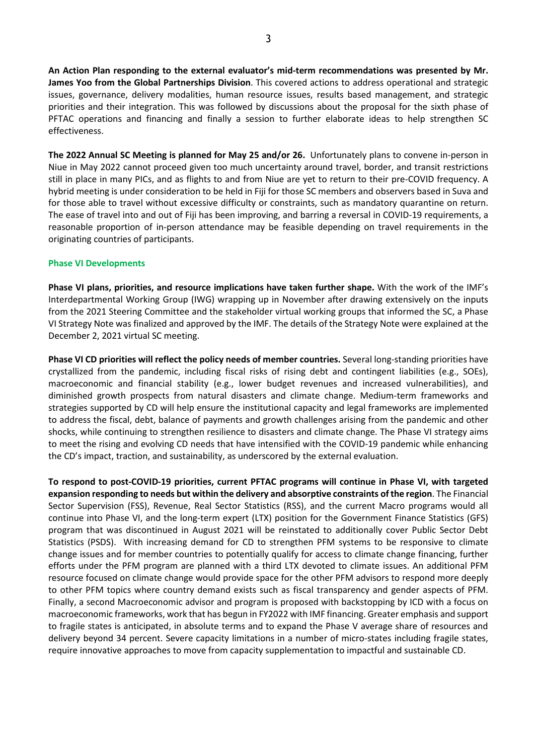**An Action Plan responding to the external evaluator's mid-term recommendations was presented by Mr. James Yoo from the Global Partnerships Division**. This covered actions to address operational and strategic issues, governance, delivery modalities, human resource issues, results based management, and strategic priorities and their integration. This was followed by discussions about the proposal for the sixth phase of PFTAC operations and financing and finally a session to further elaborate ideas to help strengthen SC effectiveness.

**The 2022 Annual SC Meeting is planned for May 25 and/or 26.** Unfortunately plans to convene in-person in Niue in May 2022 cannot proceed given too much uncertainty around travel, border, and transit restrictions still in place in many PICs, and as flights to and from Niue are yet to return to their pre-COVID frequency. A hybrid meeting is under consideration to be held in Fiji for those SC members and observers based in Suva and for those able to travel without excessive difficulty or constraints, such as mandatory quarantine on return. The ease of travel into and out of Fiji has been improving, and barring a reversal in COVID-19 requirements, a reasonable proportion of in-person attendance may be feasible depending on travel requirements in the originating countries of participants.

#### **Phase VI Developments**

**Phase VI plans, priorities, and resource implications have taken further shape.** With the work of the IMF's Interdepartmental Working Group (IWG) wrapping up in November after drawing extensively on the inputs from the 2021 Steering Committee and the stakeholder virtual working groups that informed the SC, a Phase VI Strategy Note was finalized and approved by the IMF. The details of the Strategy Note were explained at the December 2, 2021 virtual SC meeting.

**Phase VI CD priorities will reflect the policy needs of member countries.** Several long-standing priorities have crystallized from the pandemic, including fiscal risks of rising debt and contingent liabilities (e.g., SOEs), macroeconomic and financial stability (e.g., lower budget revenues and increased vulnerabilities), and diminished growth prospects from natural disasters and climate change. Medium-term frameworks and strategies supported by CD will help ensure the institutional capacity and legal frameworks are implemented to address the fiscal, debt, balance of payments and growth challenges arising from the pandemic and other shocks, while continuing to strengthen resilience to disasters and climate change. The Phase VI strategy aims to meet the rising and evolving CD needs that have intensified with the COVID-19 pandemic while enhancing the CD's impact, traction, and sustainability, as underscored by the external evaluation.

**To respond to post-COVID-19 priorities, current PFTAC programs will continue in Phase VI, with targeted expansion responding to needs but within the delivery and absorptive constraints of the region**. The Financial Sector Supervision (FSS), Revenue, Real Sector Statistics (RSS), and the current Macro programs would all continue into Phase VI, and the long-term expert (LTX) position for the Government Finance Statistics (GFS) program that was discontinued in August 2021 will be reinstated to additionally cover Public Sector Debt Statistics (PSDS). With increasing demand for CD to strengthen PFM systems to be responsive to climate change issues and for member countries to potentially qualify for access to climate change financing, further efforts under the PFM program are planned with a third LTX devoted to climate issues. An additional PFM resource focused on climate change would provide space for the other PFM advisors to respond more deeply to other PFM topics where country demand exists such as fiscal transparency and gender aspects of PFM. Finally, a second Macroeconomic advisor and program is proposed with backstopping by ICD with a focus on macroeconomic frameworks, work that has begun in FY2022 with IMF financing. Greater emphasis and support to fragile states is anticipated, in absolute terms and to expand the Phase V average share of resources and delivery beyond 34 percent. Severe capacity limitations in a number of micro-states including fragile states, require innovative approaches to move from capacity supplementation to impactful and sustainable CD.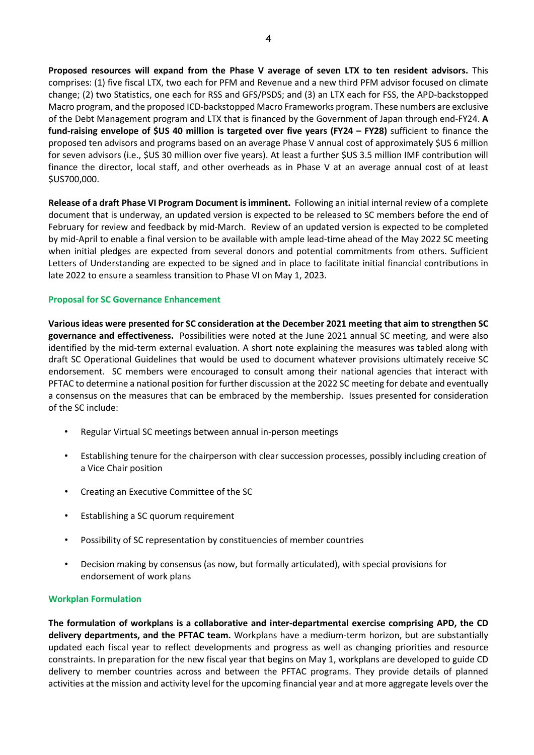**Proposed resources will expand from the Phase V average of seven LTX to ten resident advisors.** This comprises: (1) five fiscal LTX, two each for PFM and Revenue and a new third PFM advisor focused on climate change; (2) two Statistics, one each for RSS and GFS/PSDS; and (3) an LTX each for FSS, the APD-backstopped Macro program, and the proposed ICD-backstopped Macro Frameworks program. These numbers are exclusive of the Debt Management program and LTX that is financed by the Government of Japan through end-FY24. **A fund-raising envelope of \$US 40 million is targeted over five years (FY24 – FY28)** sufficient to finance the proposed ten advisors and programs based on an average Phase V annual cost of approximately \$US 6 million for seven advisors (i.e., \$US 30 million over five years). At least a further \$US 3.5 million IMF contribution will finance the director, local staff, and other overheads as in Phase V at an average annual cost of at least \$US700,000.

**Release of a draft Phase VI Program Document is imminent.** Following an initial internal review of a complete document that is underway, an updated version is expected to be released to SC members before the end of February for review and feedback by mid-March. Review of an updated version is expected to be completed by mid-April to enable a final version to be available with ample lead-time ahead of the May 2022 SC meeting when initial pledges are expected from several donors and potential commitments from others. Sufficient Letters of Understanding are expected to be signed and in place to facilitate initial financial contributions in late 2022 to ensure a seamless transition to Phase VI on May 1, 2023.

#### **Proposal for SC Governance Enhancement**

**Various ideas were presented for SC consideration at the December 2021 meeting that aim to strengthen SC governance and effectiveness.** Possibilities were noted at the June 2021 annual SC meeting, and were also identified by the mid-term external evaluation. A short note explaining the measures was tabled along with draft SC Operational Guidelines that would be used to document whatever provisions ultimately receive SC endorsement. SC members were encouraged to consult among their national agencies that interact with PFTAC to determine a national position for further discussion at the 2022 SC meeting for debate and eventually a consensus on the measures that can be embraced by the membership. Issues presented for consideration of the SC include:

- Regular Virtual SC meetings between annual in-person meetings
- Establishing tenure for the chairperson with clear succession processes, possibly including creation of a Vice Chair position
- Creating an Executive Committee of the SC
- Establishing a SC quorum requirement
- Possibility of SC representation by constituencies of member countries
- Decision making by consensus (as now, but formally articulated), with special provisions for endorsement of work plans

#### **Workplan Formulation**

**The formulation of workplans is a collaborative and inter-departmental exercise comprising APD, the CD delivery departments, and the PFTAC team.** Workplans have a medium-term horizon, but are substantially updated each fiscal year to reflect developments and progress as well as changing priorities and resource constraints. In preparation for the new fiscal year that begins on May 1, workplans are developed to guide CD delivery to member countries across and between the PFTAC programs. They provide details of planned activities at the mission and activity level for the upcoming financial year and at more aggregate levels over the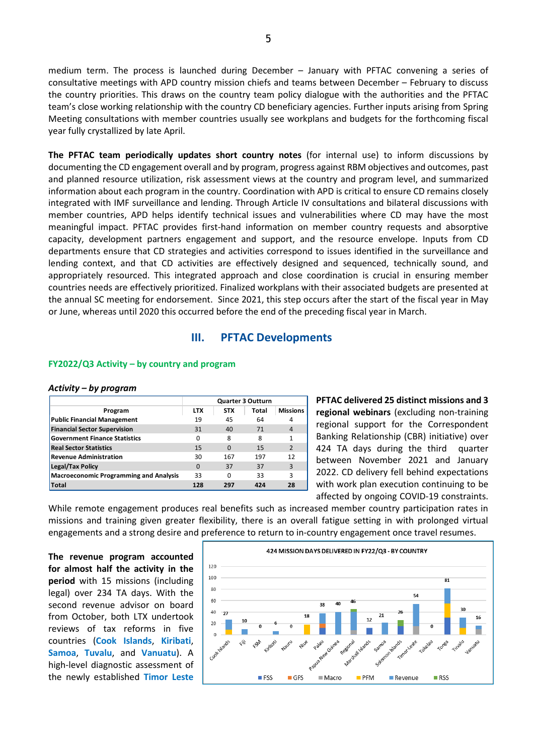medium term. The process is launched during December – January with PFTAC convening a series of consultative meetings with APD country mission chiefs and teams between December – February to discuss the country priorities. This draws on the country team policy dialogue with the authorities and the PFTAC team's close working relationship with the country CD beneficiary agencies. Further inputs arising from Spring Meeting consultations with member countries usually see workplans and budgets for the forthcoming fiscal year fully crystallized by late April.

**The PFTAC team periodically updates short country notes** (for internal use) to inform discussions by documenting the CD engagement overall and by program, progress against RBM objectives and outcomes, past and planned resource utilization, risk assessment views at the country and program level, and summarized information about each program in the country. Coordination with APD is critical to ensure CD remains closely integrated with IMF surveillance and lending. Through Article IV consultations and bilateral discussions with member countries, APD helps identify technical issues and vulnerabilities where CD may have the most meaningful impact. PFTAC provides first-hand information on member country requests and absorptive capacity, development partners engagement and support, and the resource envelope. Inputs from CD departments ensure that CD strategies and activities correspond to issues identified in the surveillance and lending context, and that CD activities are effectively designed and sequenced, technically sound, and appropriately resourced. This integrated approach and close coordination is crucial in ensuring member countries needs are effectively prioritized. Finalized workplans with their associated budgets are presented at the annual SC meeting for endorsement. Since 2021, this step occurs after the start of the fiscal year in May or June, whereas until 2020 this occurred before the end of the preceding fiscal year in March.

#### **III. PFTAC Developments**

#### **FY2022/Q3 Activity – by country and program**

#### *Activity – by program*

|                                               | <b>Quarter 3 Outturn</b> |            |       |                 |
|-----------------------------------------------|--------------------------|------------|-------|-----------------|
| Program                                       | <b>LTX</b>               | <b>STX</b> | Total | <b>Missions</b> |
| <b>Public Financial Management</b>            | 19                       | 45         | 64    | 4               |
| <b>Financial Sector Supervision</b>           | 31                       | 40         | 71    | 4               |
| <b>Government Finance Statistics</b>          | 0                        | 8          | 8     |                 |
| <b>Real Sector Statistics</b>                 | 15                       | $\Omega$   | 15    | $\overline{2}$  |
| <b>Revenue Administration</b>                 | 30                       | 167        | 197   | 12              |
| Legal/Tax Policy                              | $\Omega$                 | 37         | 37    | 3               |
| <b>Macroeconomic Programming and Analysis</b> | 33                       | O          | 33    | 3               |
| <b>Total</b>                                  | 128                      | 297        | 424   | 28              |

**PFTAC delivered 25 distinct missions and 3 regional webinars** (excluding non-training regional support for the Correspondent Banking Relationship (CBR) initiative) over 424 TA days during the third quarter between November 2021 and January 2022. CD delivery fell behind expectations with work plan execution continuing to be affected by ongoing COVID-19 constraints.

While remote engagement produces real benefits such as increased member country participation rates in missions and training given greater flexibility, there is an overall fatigue setting in with prolonged virtual engagements and a strong desire and preference to return to in-country engagement once travel resumes.

**The revenue program accounted for almost half the activity in the period** with 15 missions (including legal) over 234 TA days. With the second revenue advisor on board from October, both LTX undertook reviews of tax reforms in five countries (**Cook Islands**, **Kiribati**, **Samoa**, **Tuvalu**, and **Vanuatu**). A high-level diagnostic assessment of the newly established **Timor Leste**

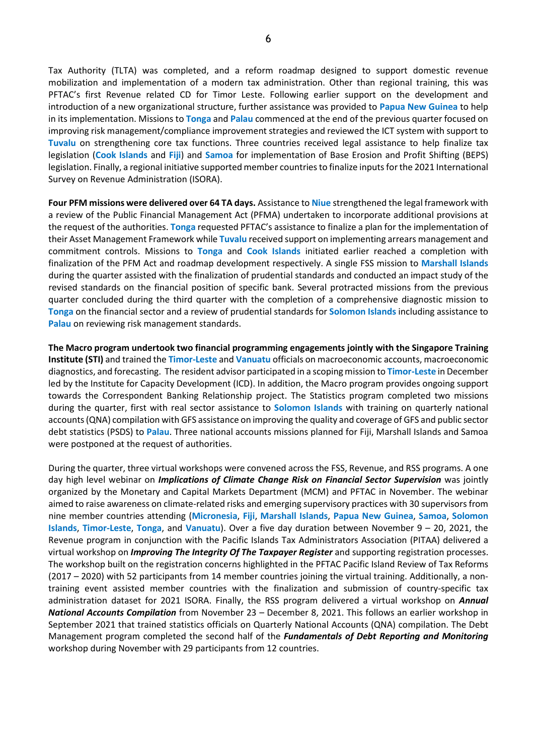Tax Authority (TLTA) was completed, and a reform roadmap designed to support domestic revenue mobilization and implementation of a modern tax administration. Other than regional training, this was PFTAC's first Revenue related CD for Timor Leste. Following earlier support on the development and introduction of a new organizational structure, further assistance was provided to **Papua New Guinea** to help in its implementation. Missions to **Tonga** and **Palau** commenced at the end of the previous quarter focused on improving risk management/compliance improvement strategies and reviewed the ICT system with support to **Tuvalu** on strengthening core tax functions. Three countries received legal assistance to help finalize tax legislation (**Cook Islands** and **Fiji**) and **Samoa** for implementation of Base Erosion and Profit Shifting (BEPS) legislation. Finally, a regional initiative supported member countries to finalize inputs for the 2021 International Survey on Revenue Administration (ISORA).

**Four PFM missions were delivered over 64 TA days.** Assistance to **Niue** strengthened the legal framework with a review of the Public Financial Management Act (PFMA) undertaken to incorporate additional provisions at the request of the authorities. **Tonga** requested PFTAC's assistance to finalize a plan for the implementation of their Asset Management Framework while **Tuvalu** received support on implementing arrears management and commitment controls. Missions to **Tonga** and **Cook Islands** initiated earlier reached a completion with finalization of the PFM Act and roadmap development respectively. A single FSS mission to **Marshall Islands** during the quarter assisted with the finalization of prudential standards and conducted an impact study of the revised standards on the financial position of specific bank. Several protracted missions from the previous quarter concluded during the third quarter with the completion of a comprehensive diagnostic mission to **Tonga** on the financial sector and a review of prudential standards for **Solomon Islands** including assistance to **Palau** on reviewing risk management standards.

**The Macro program undertook two financial programming engagements jointly with the Singapore Training Institute (STI)** and trained the **Timor-Leste** and **Vanuatu** officials on macroeconomic accounts, macroeconomic diagnostics, and forecasting. The resident advisor participated in a scoping mission to **Timor-Leste** in December led by the Institute for Capacity Development (ICD). In addition, the Macro program provides ongoing support towards the Correspondent Banking Relationship project. The Statistics program completed two missions during the quarter, first with real sector assistance to **Solomon Islands** with training on quarterly national accounts (QNA) compilation with GFS assistance on improving the quality and coverage of GFS and public sector debt statistics (PSDS) to **Palau**. Three national accounts missions planned for Fiji, Marshall Islands and Samoa were postponed at the request of authorities.

During the quarter, three virtual workshops were convened across the FSS, Revenue, and RSS programs. A one day high level webinar on *Implications of Climate Change Risk on Financial Sector Supervision* was jointly organized by the Monetary and Capital Markets Department (MCM) and PFTAC in November. The webinar aimed to raise awareness on climate-related risks and emerging supervisory practices with 30 supervisors from nine member countries attending (**Micronesia**, **Fiji**, **Marshall Islands**, **Papua New Guinea**, **Samoa**, **Solomon Islands**, **Timor-Leste**, **Tonga**, and **Vanuatu**). Over a five day duration between November 9 – 20, 2021, the Revenue program in conjunction with the Pacific Islands Tax Administrators Association (PITAA) delivered a virtual workshop on *Improving The Integrity Of The Taxpayer Register* and supporting registration processes. The workshop built on the registration concerns highlighted in the PFTAC Pacific Island Review of Tax Reforms (2017 – 2020) with 52 participants from 14 member countries joining the virtual training. Additionally, a nontraining event assisted member countries with the finalization and submission of country-specific tax administration dataset for 2021 ISORA. Finally, the RSS program delivered a virtual workshop on *Annual National Accounts Compilation* from November 23 – December 8, 2021. This follows an earlier workshop in September 2021 that trained statistics officials on Quarterly National Accounts (QNA) compilation. The Debt Management program completed the second half of the *Fundamentals of Debt Reporting and Monitoring* workshop during November with 29 participants from 12 countries.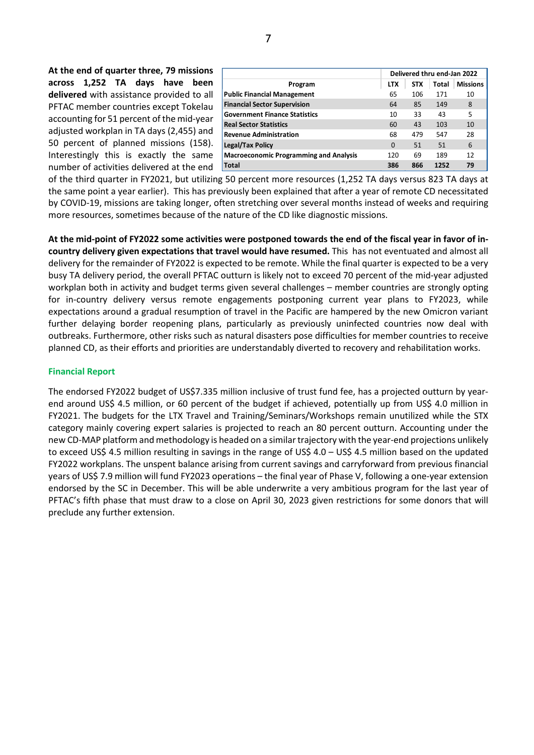**At the end of quarter three, 79 missions across 1,252 TA days have been delivered** with assistance provided to all PFTAC member countries except Tokelau accounting for 51 percent of the mid-year adjusted workplan in TA days (2,455) and 50 percent of planned missions (158). Interestingly this is exactly the same number of activities delivered at the end

|                                               | Delivered thru end-Jan 2022 |       |                 |    |
|-----------------------------------------------|-----------------------------|-------|-----------------|----|
| Program                                       | <b>STX</b>                  | Total | <b>Missions</b> |    |
| <b>Public Financial Management</b>            | 65                          | 106   | 171             | 10 |
| <b>Financial Sector Supervision</b>           | 64                          | 85    | 149             | 8  |
| <b>Government Finance Statistics</b>          | 10                          | 33    | 43              | 5  |
| <b>Real Sector Statistics</b>                 | 60                          | 43    | 103             | 10 |
| <b>Revenue Administration</b>                 | 68                          | 479   | 547             | 28 |
| <b>Legal/Tax Policy</b>                       | $\Omega$                    | 51    | 51              | 6  |
| <b>Macroeconomic Programming and Analysis</b> | 120                         | 69    | 189             | 12 |
| <b>Total</b>                                  | 386                         | 866   | 1252            | 79 |

of the third quarter in FY2021, but utilizing 50 percent more resources (1,252 TA days versus 823 TA days at the same point a year earlier). This has previously been explained that after a year of remote CD necessitated by COVID-19, missions are taking longer, often stretching over several months instead of weeks and requiring more resources, sometimes because of the nature of the CD like diagnostic missions.

**At the mid-point of FY2022 some activities were postponed towards the end of the fiscal year in favor of incountry delivery given expectations that travel would have resumed.** This has not eventuated and almost all delivery for the remainder of FY2022 is expected to be remote. While the final quarter is expected to be a very busy TA delivery period, the overall PFTAC outturn is likely not to exceed 70 percent of the mid-year adjusted workplan both in activity and budget terms given several challenges – member countries are strongly opting for in-country delivery versus remote engagements postponing current year plans to FY2023, while expectations around a gradual resumption of travel in the Pacific are hampered by the new Omicron variant further delaying border reopening plans, particularly as previously uninfected countries now deal with outbreaks. Furthermore, other risks such as natural disasters pose difficulties for member countries to receive planned CD, as their efforts and priorities are understandably diverted to recovery and rehabilitation works.

#### **Financial Report**

The endorsed FY2022 budget of US\$7.335 million inclusive of trust fund fee, has a projected outturn by yearend around US\$ 4.5 million, or 60 percent of the budget if achieved, potentially up from US\$ 4.0 million in FY2021. The budgets for the LTX Travel and Training/Seminars/Workshops remain unutilized while the STX category mainly covering expert salaries is projected to reach an 80 percent outturn. Accounting under the new CD-MAP platform and methodology is headed on a similar trajectory with the year-end projections unlikely to exceed US\$ 4.5 million resulting in savings in the range of US\$ 4.0 – US\$ 4.5 million based on the updated FY2022 workplans. The unspent balance arising from current savings and carryforward from previous financial years of US\$ 7.9 million will fund FY2023 operations – the final year of Phase V, following a one-year extension endorsed by the SC in December. This will be able underwrite a very ambitious program for the last year of PFTAC's fifth phase that must draw to a close on April 30, 2023 given restrictions for some donors that will preclude any further extension.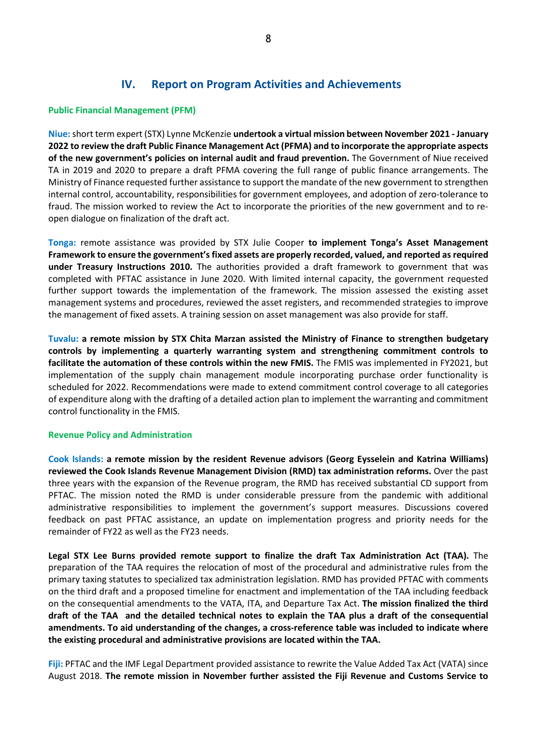### **IV. Report on Program Activities and Achievements**

#### **Public Financial Management (PFM)**

**Niue:**short term expert (STX) Lynne McKenzie **undertook a virtual mission between November 2021 - January 2022 to review the draft Public Finance Management Act (PFMA) and to incorporate the appropriate aspects of the new government's policies on internal audit and fraud prevention.** The Government of Niue received TA in 2019 and 2020 to prepare a draft PFMA covering the full range of public finance arrangements. The Ministry of Finance requested further assistance to support the mandate of the new government to strengthen internal control, accountability, responsibilities for government employees, and adoption of zero-tolerance to fraud. The mission worked to review the Act to incorporate the priorities of the new government and to reopen dialogue on finalization of the draft act.

**Tonga:** remote assistance was provided by STX Julie Cooper **to implement Tonga's Asset Management Framework to ensure the government'sfixed assets are properly recorded, valued, and reported as required under Treasury Instructions 2010.** The authorities provided a draft framework to government that was completed with PFTAC assistance in June 2020. With limited internal capacity, the government requested further support towards the implementation of the framework. The mission assessed the existing asset management systems and procedures, reviewed the asset registers, and recommended strategies to improve the management of fixed assets. A training session on asset management was also provide for staff.

**Tuvalu: a remote mission by STX Chita Marzan assisted the Ministry of Finance to strengthen budgetary controls by implementing a quarterly warranting system and strengthening commitment controls to facilitate the automation of these controls within the new FMIS.** The FMIS was implemented in FY2021, but implementation of the supply chain management module incorporating purchase order functionality is scheduled for 2022. Recommendations were made to extend commitment control coverage to all categories of expenditure along with the drafting of a detailed action plan to implement the warranting and commitment control functionality in the FMIS.

#### **Revenue Policy and Administration**

**Cook Islands: a remote mission by the resident Revenue advisors (Georg Eysselein and Katrina Williams) reviewed the Cook Islands Revenue Management Division (RMD) tax administration reforms.** Over the past three years with the expansion of the Revenue program, the RMD has received substantial CD support from PFTAC. The mission noted the RMD is under considerable pressure from the pandemic with additional administrative responsibilities to implement the government's support measures. Discussions covered feedback on past PFTAC assistance, an update on implementation progress and priority needs for the remainder of FY22 as well as the FY23 needs.

**Legal STX Lee Burns provided remote support to finalize the draft Tax Administration Act (TAA).** The preparation of the TAA requires the relocation of most of the procedural and administrative rules from the primary taxing statutes to specialized tax administration legislation. RMD has provided PFTAC with comments on the third draft and a proposed timeline for enactment and implementation of the TAA including feedback on the consequential amendments to the VATA, ITA, and Departure Tax Act. **The mission finalized the third draft of the TAA and the detailed technical notes to explain the TAA plus a draft of the consequential amendments. To aid understanding of the changes, a cross-reference table was included to indicate where the existing procedural and administrative provisions are located within the TAA.**

**Fiji:** PFTAC and the IMF Legal Department provided assistance to rewrite the Value Added Tax Act (VATA) since August 2018. **The remote mission in November further assisted the Fiji Revenue and Customs Service to**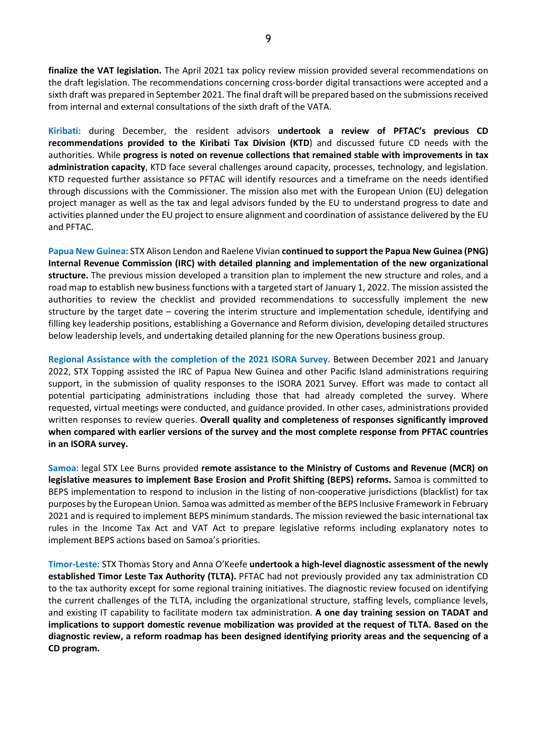**finalize the VAT legislation.** The April 2021 tax policy review mission provided several recommendations on the draft legislation. The recommendations concerning cross-border digital transactions were accepted and a sixth draft was prepared in September 2021. The final draft will be prepared based on the submissions received from internal and external consultations of the sixth draft of the VATA.

**Kiribati:** during December, the resident advisors **undertook a review of PFTAC's previous CD recommendations provided to the Kiribati Tax Division (KTD**) and discussed future CD needs with the authorities. While **progress is noted on revenue collections that remained stable with improvements in tax administration capacity**, KTD face several challenges around capacity, processes, technology, and legislation. KTD requested further assistance so PFTAC will identify resources and a timeframe on the needs identified through discussions with the Commissioner. The mission also met with the European Union (EU) delegation project manager as well as the tax and legal advisors funded by the EU to understand progress to date and activities planned under the EU project to ensure alignment and coordination of assistance delivered by the EU and PFTAC.

**Papua New Guinea:** STX Alison Lendon and Raelene Vivian **continued to support the Papua New Guinea (PNG) Internal Revenue Commission (IRC) with detailed planning and implementation of the new organizational structure.** The previous mission developed a transition plan to implement the new structure and roles, and a road map to establish new business functions with a targeted start of January 1, 2022. The mission assisted the authorities to review the checklist and provided recommendations to successfully implement the new structure by the target date – covering the interim structure and implementation schedule, identifying and filling key leadership positions, establishing a Governance and Reform division, developing detailed structures below leadership levels, and undertaking detailed planning for the new Operations business group.

**Regional Assistance with the completion of the 2021 ISORA Survey.** Between December 2021 and January 2022, STX Topping assisted the IRC of Papua New Guinea and other Pacific Island administrations requiring support, in the submission of quality responses to the ISORA 2021 Survey. Effort was made to contact all potential participating administrations including those that had already completed the survey. Where requested, virtual meetings were conducted, and guidance provided. In other cases, administrations provided written responses to review queries. **Overall quality and completeness of responses significantly improved when compared with earlier versions of the survey and the most complete response from PFTAC countries in an ISORA survey.** 

**Samoa:** legal STX Lee Burns provided **remote assistance to the Ministry of Customs and Revenue (MCR) on legislative measures to implement Base Erosion and Profit Shifting (BEPS) reforms.** Samoa is committed to BEPS implementation to respond to inclusion in the listing of non-cooperative jurisdictions (blacklist) for tax purposes by the European Union. Samoa was admitted as member of the BEPS Inclusive Framework in February 2021 and is required to implement BEPS minimum standards. The mission reviewed the basic international tax rules in the Income Tax Act and VAT Act to prepare legislative reforms including explanatory notes to implement BEPS actions based on Samoa's priorities.

**Timor-Leste:** STX Thomas Story and Anna O'Keefe **undertook a high-level diagnostic assessment of the newly established Timor Leste Tax Authority (TLTA).** PFTAC had not previously provided any tax administration CD to the tax authority except for some regional training initiatives. The diagnostic review focused on identifying the current challenges of the TLTA, including the organizational structure, staffing levels, compliance levels, and existing IT capability to facilitate modern tax administration. **A one day training session on TADAT and implications to support domestic revenue mobilization was provided at the request of TLTA. Based on the diagnostic review, a reform roadmap has been designed identifying priority areas and the sequencing of a CD program.**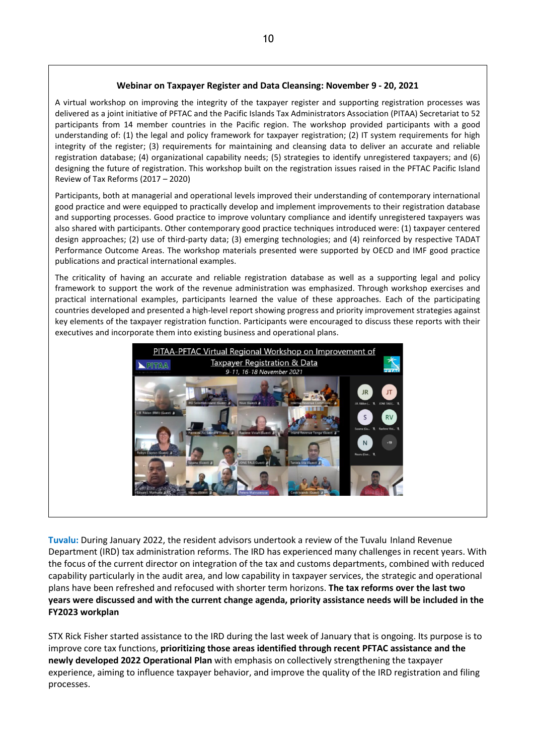#### **Webinar on Taxpayer Register and Data Cleansing: November 9 - 20, 2021**

A virtual workshop on improving the integrity of the taxpayer register and supporting registration processes was delivered as a joint initiative of PFTAC and the Pacific Islands Tax Administrators Association (PITAA) Secretariat to 52 participants from 14 member countries in the Pacific region. The workshop provided participants with a good understanding of: (1) the legal and policy framework for taxpayer registration; (2) IT system requirements for high integrity of the register; (3) requirements for maintaining and cleansing data to deliver an accurate and reliable registration database; (4) organizational capability needs; (5) strategies to identify unregistered taxpayers; and (6) designing the future of registration. This workshop built on the registration issues raised in the PFTAC Pacific Island Review of Tax Reforms (2017 – 2020)

Participants, both at managerial and operational levels improved their understanding of contemporary international good practice and were equipped to practically develop and implement improvements to their registration database and supporting processes. Good practice to improve voluntary compliance and identify unregistered taxpayers was also shared with participants. Other contemporary good practice techniques introduced were: (1) taxpayer centered design approaches; (2) use of third-party data; (3) emerging technologies; and (4) reinforced by respective TADAT Performance Outcome Areas. The workshop materials presented were supported by OECD and IMF good practice publications and practical international examples.

The criticality of having an accurate and reliable registration database as well as a supporting legal and policy framework to support the work of the revenue administration was emphasized. Through workshop exercises and practical international examples, participants learned the value of these approaches. Each of the participating countries developed and presented a high-level report showing progress and priority improvement strategies against key elements of the taxpayer registration function. Participants were encouraged to discuss these reports with their executives and incorporate them into existing business and operational plans.



**Tuvalu:** During January 2022, the resident advisors undertook a review of the Tuvalu Inland Revenue Department (IRD) tax administration reforms. The IRD has experienced many challenges in recent years. With the focus of the current director on integration of the tax and customs departments, combined with reduced capability particularly in the audit area, and low capability in taxpayer services, the strategic and operational plans have been refreshed and refocused with shorter term horizons. **The tax reforms over the last two years were discussed and with the current change agenda, priority assistance needs will be included in the FY2023 workplan**

STX Rick Fisher started assistance to the IRD during the last week of January that is ongoing. Its purpose is to improve core tax functions, **prioritizing those areas identified through recent PFTAC assistance and the newly developed 2022 Operational Plan** with emphasis on collectively strengthening the taxpayer experience, aiming to influence taxpayer behavior, and improve the quality of the IRD registration and filing processes.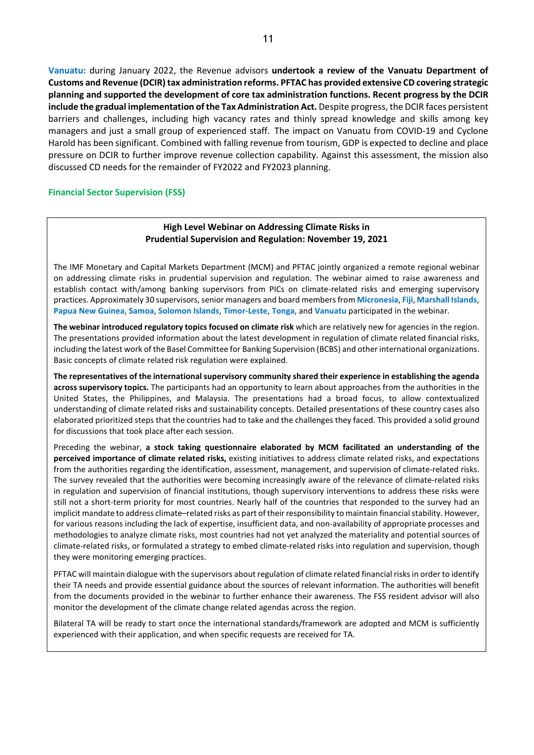**Vanuatu:** during January 2022, the Revenue advisors **undertook a review of the Vanuatu Department of Customs and Revenue (DCIR) tax administration reforms. PFTAC has provided extensive CD covering strategic planning and supported the development of core tax administration functions. Recent progress by the DCIR include the gradual implementation of the Tax Administration Act.** Despite progress, the DCIR faces persistent barriers and challenges, including high vacancy rates and thinly spread knowledge and skills among key managers and just a small group of experienced staff. The impact on Vanuatu from COVID-19 and Cyclone Harold has been significant. Combined with falling revenue from tourism, GDP is expected to decline and place pressure on DCIR to further improve revenue collection capability. Against this assessment, the mission also discussed CD needs for the remainder of FY2022 and FY2023 planning.

#### **Financial Sector Supervision (FSS)**

#### **High Level Webinar on Addressing Climate Risks in Prudential Supervision and Regulation: November 19, 2021**

The IMF Monetary and Capital Markets Department (MCM) and PFTAC jointly organized a remote regional webinar on addressing climate risks in prudential supervision and regulation. The webinar aimed to raise awareness and establish contact with/among banking supervisors from PICs on climate-related risks and emerging supervisory practices. Approximately 30 supervisors, senior managers and board members from **Micronesia**, **Fiji**, **Marshall Islands**, **Papua New Guinea**, **Samoa**, **Solomon Islands**, **Timor-Leste**, **Tonga**, and **Vanuatu** participated in the webinar.

**The webinar introduced regulatory topics focused on climate risk** which are relatively new for agencies in the region. The presentations provided information about the latest development in regulation of climate related financial risks, including the latest work of the Basel Committee for Banking Supervision (BCBS) and other international organizations. Basic concepts of climate related risk regulation were explained.

**The representatives of the international supervisory community shared their experience in establishing the agenda across supervisory topics.** The participants had an opportunity to learn about approaches from the authorities in the United States, the Philippines, and Malaysia. The presentations had a broad focus, to allow contextualized understanding of climate related risks and sustainability concepts. Detailed presentations of these country cases also elaborated prioritized steps that the countries had to take and the challenges they faced. This provided a solid ground for discussions that took place after each session.

Preceding the webinar, **a stock taking questionnaire elaborated by MCM facilitated an understanding of the perceived importance of climate related risks,** existing initiatives to address climate related risks, and expectations from the authorities regarding the identification, assessment, management, and supervision of climate-related risks. The survey revealed that the authorities were becoming increasingly aware of the relevance of climate-related risks in regulation and supervision of financial institutions, though supervisory interventions to address these risks were still not a short-term priority for most countries. Nearly half of the countries that responded to the survey had an implicit mandate to address climate–related risks as part of their responsibility to maintain financial stability. However, for various reasons including the lack of expertise, insufficient data, and non-availability of appropriate processes and methodologies to analyze climate risks, most countries had not yet analyzed the materiality and potential sources of climate-related risks, or formulated a strategy to embed climate-related risks into regulation and supervision, though they were monitoring emerging practices.

PFTAC will maintain dialogue with the supervisors about regulation of climate related financial risks in order to identify their TA needs and provide essential guidance about the sources of relevant information. The authorities will benefit from the documents provided in the webinar to further enhance their awareness. The FSS resident advisor will also monitor the development of the climate change related agendas across the region.

Bilateral TA will be ready to start once the international standards/framework are adopted and MCM is sufficiently experienced with their application, and when specific requests are received for TA.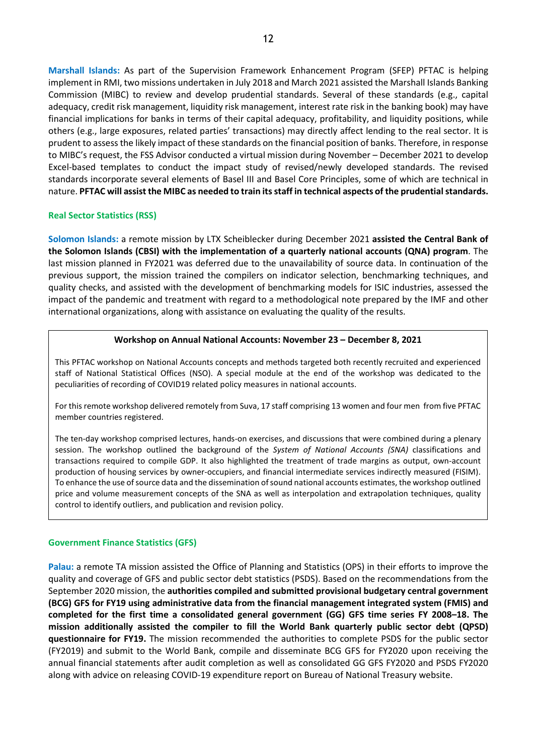**Marshall Islands:** As part of the Supervision Framework Enhancement Program (SFEP) PFTAC is helping implement in RMI, two missions undertaken in July 2018 and March 2021 assisted the Marshall Islands Banking Commission (MIBC) to review and develop prudential standards. Several of these standards (e.g., capital adequacy, credit risk management, liquidity risk management, interest rate risk in the banking book) may have financial implications for banks in terms of their capital adequacy, profitability, and liquidity positions, while others (e.g., large exposures, related parties' transactions) may directly affect lending to the real sector. It is prudent to assess the likely impact of these standards on the financial position of banks. Therefore, in response to MIBC's request, the FSS Advisor conducted a virtual mission during November – December 2021 to develop Excel-based templates to conduct the impact study of revised/newly developed standards. The revised standards incorporate several elements of Basel III and Basel Core Principles, some of which are technical in nature. **PFTAC will assist the MIBC as needed to train its staff in technical aspects of the prudential standards.**

#### **Real Sector Statistics (RSS)**

**Solomon Islands:** a remote mission by LTX Scheiblecker during December 2021 **assisted the Central Bank of the Solomon Islands (CBSI) with the implementation of a quarterly national accounts (QNA) program**. The last mission planned in FY2021 was deferred due to the unavailability of source data. In continuation of the previous support, the mission trained the compilers on indicator selection, benchmarking techniques, and quality checks, and assisted with the development of benchmarking models for ISIC industries, assessed the impact of the pandemic and treatment with regard to a methodological note prepared by the IMF and other international organizations, along with assistance on evaluating the quality of the results.

#### **Workshop on Annual National Accounts: November 23 – December 8, 2021**

This PFTAC workshop on National Accounts concepts and methods targeted both recently recruited and experienced staff of National Statistical Offices (NSO). A special module at the end of the workshop was dedicated to the peculiarities of recording of COVID19 related policy measures in national accounts.

For this remote workshop delivered remotely from Suva, 17 staff comprising 13 women and four men from five PFTAC member countries registered.

The ten-day workshop comprised lectures, hands-on exercises, and discussions that were combined during a plenary session. The workshop outlined the background of the *System of National Accounts (SNA)* classifications and transactions required to compile GDP. It also highlighted the treatment of trade margins as output, own-account production of housing services by owner-occupiers, and financial intermediate services indirectly measured (FISIM). To enhance the use of source data and the dissemination of sound national accounts estimates, the workshop outlined price and volume measurement concepts of the SNA as well as interpolation and extrapolation techniques, quality control to identify outliers, and publication and revision policy.

#### **Government Finance Statistics (GFS)**

**Palau:** a remote TA mission assisted the Office of Planning and Statistics (OPS) in their efforts to improve the quality and coverage of GFS and public sector debt statistics (PSDS). Based on the recommendations from the September 2020 mission, the **authorities compiled and submitted provisional budgetary central government (BCG) GFS for FY19 using administrative data from the financial management integrated system (FMIS) and completed for the first time a consolidated general government (GG) GFS time series FY 2008–18. The mission additionally assisted the compiler to fill the World Bank quarterly public sector debt (QPSD) questionnaire for FY19.** The mission recommended the authorities to complete PSDS for the public sector (FY2019) and submit to the World Bank, compile and disseminate BCG GFS for FY2020 upon receiving the annual financial statements after audit completion as well as consolidated GG GFS FY2020 and PSDS FY2020 along with advice on releasing COVID-19 expenditure report on Bureau of National Treasury website.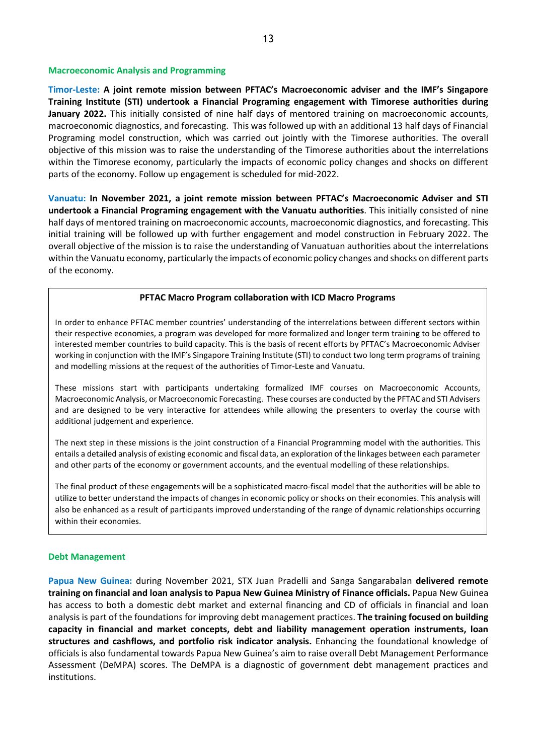#### **Macroeconomic Analysis and Programming**

**Timor-Leste: A joint remote mission between PFTAC's Macroeconomic adviser and the IMF's Singapore Training Institute (STI) undertook a Financial Programing engagement with Timorese authorities during January 2022.** This initially consisted of nine half days of mentored training on macroeconomic accounts, macroeconomic diagnostics, and forecasting. This was followed up with an additional 13 half days of Financial Programing model construction, which was carried out jointly with the Timorese authorities. The overall objective of this mission was to raise the understanding of the Timorese authorities about the interrelations within the Timorese economy, particularly the impacts of economic policy changes and shocks on different parts of the economy. Follow up engagement is scheduled for mid-2022.

**Vanuatu: In November 2021, a joint remote mission between PFTAC's Macroeconomic Adviser and STI undertook a Financial Programing engagement with the Vanuatu authorities**. This initially consisted of nine half days of mentored training on macroeconomic accounts, macroeconomic diagnostics, and forecasting. This initial training will be followed up with further engagement and model construction in February 2022. The overall objective of the mission is to raise the understanding of Vanuatuan authorities about the interrelations within the Vanuatu economy, particularly the impacts of economic policy changes and shocks on different parts of the economy.

#### **PFTAC Macro Program collaboration with ICD Macro Programs**

In order to enhance PFTAC member countries' understanding of the interrelations between different sectors within their respective economies, a program was developed for more formalized and longer term training to be offered to interested member countries to build capacity. This is the basis of recent efforts by PFTAC's Macroeconomic Adviser working in conjunction with the IMF's Singapore Training Institute (STI) to conduct two long term programs of training and modelling missions at the request of the authorities of Timor-Leste and Vanuatu.

These missions start with participants undertaking formalized IMF courses on Macroeconomic Accounts, Macroeconomic Analysis, or Macroeconomic Forecasting. These courses are conducted by the PFTAC and STI Advisers and are designed to be very interactive for attendees while allowing the presenters to overlay the course with additional judgement and experience.

The next step in these missions is the joint construction of a Financial Programming model with the authorities. This entails a detailed analysis of existing economic and fiscal data, an exploration of the linkages between each parameter and other parts of the economy or government accounts, and the eventual modelling of these relationships.

The final product of these engagements will be a sophisticated macro-fiscal model that the authorities will be able to utilize to better understand the impacts of changes in economic policy or shocks on their economies. This analysis will also be enhanced as a result of participants improved understanding of the range of dynamic relationships occurring within their economies.

#### **Debt Management**

**Papua New Guinea:** during November 2021, STX Juan Pradelli and Sanga Sangarabalan **delivered remote training on financial and loan analysis to Papua New Guinea Ministry of Finance officials.** Papua New Guinea has access to both a domestic debt market and external financing and CD of officials in financial and loan analysis is part of the foundations for improving debt management practices. **The training focused on building capacity in financial and market concepts, debt and liability management operation instruments, loan structures and cashflows, and portfolio risk indicator analysis.** Enhancing the foundational knowledge of officials is also fundamental towards Papua New Guinea's aim to raise overall Debt Management Performance Assessment (DeMPA) scores. The DeMPA is a diagnostic of government debt management practices and institutions.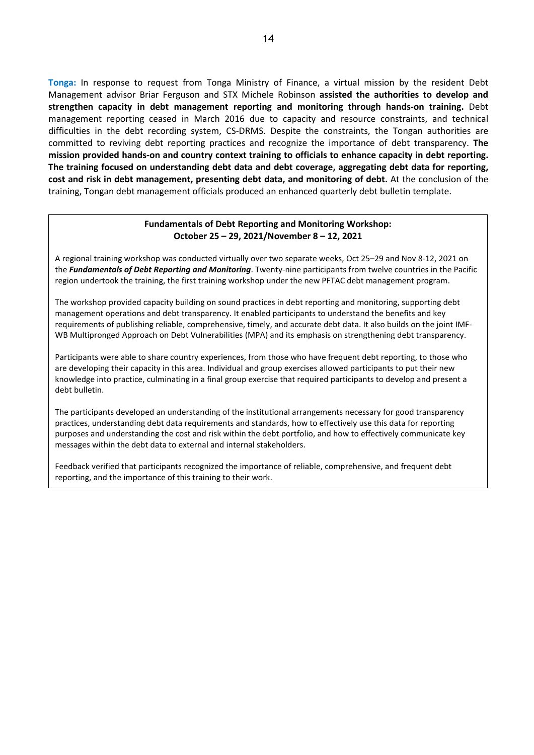**Tonga:** In response to request from Tonga Ministry of Finance, a virtual mission by the resident Debt Management advisor Briar Ferguson and STX Michele Robinson **assisted the authorities to develop and strengthen capacity in debt management reporting and monitoring through hands-on training.** Debt management reporting ceased in March 2016 due to capacity and resource constraints, and technical difficulties in the debt recording system, CS-DRMS. Despite the constraints, the Tongan authorities are committed to reviving debt reporting practices and recognize the importance of debt transparency. **The mission provided hands-on and country context training to officials to enhance capacity in debt reporting. The training focused on understanding debt data and debt coverage, aggregating debt data for reporting, cost and risk in debt management, presenting debt data, and monitoring of debt.** At the conclusion of the training, Tongan debt management officials produced an enhanced quarterly debt bulletin template.

#### **Fundamentals of Debt Reporting and Monitoring Workshop: October 25 – 29, 2021/November 8 – 12, 2021**

A regional training workshop was conducted virtually over two separate weeks, Oct 25–29 and Nov 8-12, 2021 on the *Fundamentals of Debt Reporting and Monitoring*. Twenty-nine participants from twelve countries in the Pacific region undertook the training, the first training workshop under the new PFTAC debt management program.

The workshop provided capacity building on sound practices in debt reporting and monitoring, supporting debt management operations and debt transparency. It enabled participants to understand the benefits and key requirements of publishing reliable, comprehensive, timely, and accurate debt data. It also builds on the joint IMF-WB Multipronged Approach on Debt Vulnerabilities (MPA) and its emphasis on strengthening debt transparency.

Participants were able to share country experiences, from those who have frequent debt reporting, to those who are developing their capacity in this area. Individual and group exercises allowed participants to put their new knowledge into practice, culminating in a final group exercise that required participants to develop and present a debt bulletin.

The participants developed an understanding of the institutional arrangements necessary for good transparency practices, understanding debt data requirements and standards, how to effectively use this data for reporting purposes and understanding the cost and risk within the debt portfolio, and how to effectively communicate key messages within the debt data to external and internal stakeholders.

Feedback verified that participants recognized the importance of reliable, comprehensive, and frequent debt reporting, and the importance of this training to their work.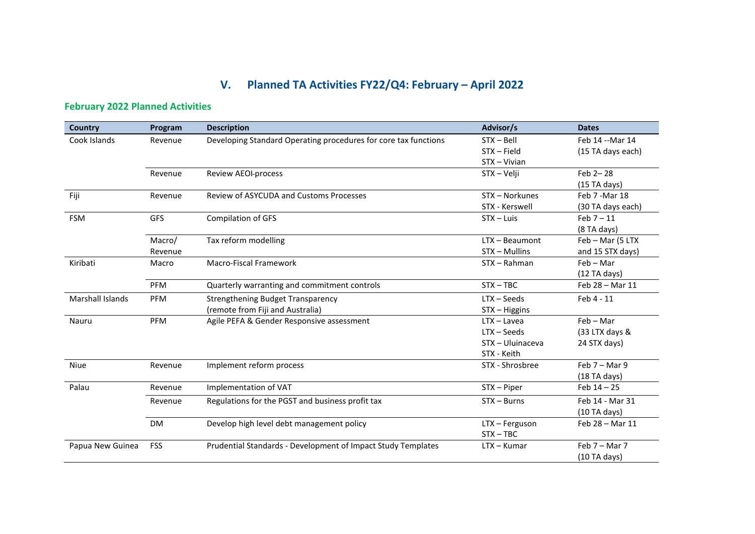# **V. Planned TA Activities FY22/Q4: February – April 2022**

# **February 2022 Planned Activities**

| <b>Country</b>          | Program    | <b>Description</b>                                              | Advisor/s        | <b>Dates</b>      |
|-------------------------|------------|-----------------------------------------------------------------|------------------|-------------------|
| Cook Islands            | Revenue    | Developing Standard Operating procedures for core tax functions | $STX - Bell$     | Feb 14 -- Mar 14  |
|                         |            |                                                                 | $STX - Field$    | (15 TA days each) |
|                         |            |                                                                 | STX - Vivian     |                   |
|                         | Revenue    | Review AEOI-process                                             | STX - Velji      | Feb 2-28          |
|                         |            |                                                                 |                  | (15 TA days)      |
| Fiji                    | Revenue    | Review of ASYCUDA and Customs Processes                         | STX - Norkunes   | Feb 7 - Mar 18    |
|                         |            |                                                                 | STX - Kerswell   | (30 TA days each) |
| <b>FSM</b>              | <b>GFS</b> | <b>Compilation of GFS</b>                                       | $STX - Luis$     | Feb $7-11$        |
|                         |            |                                                                 |                  | (8TA days)        |
|                         | Macro/     | Tax reform modelling                                            | LTX - Beaumont   | Feb - Mar (5 LTX  |
|                         | Revenue    |                                                                 | STX - Mullins    | and 15 STX days)  |
| Kiribati                | Macro      | Macro-Fiscal Framework                                          | STX - Rahman     | $Feb - Mar$       |
|                         |            |                                                                 |                  | $(12)$ TA days)   |
|                         | PFM        | Quarterly warranting and commitment controls                    | $STX - TBC$      | Feb 28 - Mar 11   |
| <b>Marshall Islands</b> | <b>PFM</b> | <b>Strengthening Budget Transparency</b>                        | $LTX - Seeds$    | Feb 4 - 11        |
|                         |            | (remote from Fiji and Australia)                                | STX - Higgins    |                   |
| Nauru                   | PFM        | Agile PEFA & Gender Responsive assessment                       | $LTX - Lavea$    | $Feb - Mar$       |
|                         |            |                                                                 | $LTX - Seeds$    | (33 LTX days &    |
|                         |            |                                                                 | STX - Uluinaceva | 24 STX days)      |
|                         |            |                                                                 | STX - Keith      |                   |
| Niue                    | Revenue    | Implement reform process                                        | STX - Shrosbree  | Feb $7 - Mar9$    |
|                         |            |                                                                 |                  | $(18)$ TA days)   |
| Palau                   | Revenue    | Implementation of VAT                                           | $STX - Piper$    | Feb $14 - 25$     |
|                         | Revenue    | Regulations for the PGST and business profit tax                | $STX - Burns$    | Feb 14 - Mar 31   |
|                         |            |                                                                 |                  | (10 TA days)      |
|                         | <b>DM</b>  | Develop high level debt management policy                       | LTX - Ferguson   | Feb 28 - Mar 11   |
|                         |            |                                                                 | $STX - TBC$      |                   |
| Papua New Guinea        | FSS        | Prudential Standards - Development of Impact Study Templates    | $LTX - Kumar$    | Feb $7 -$ Mar $7$ |
|                         |            |                                                                 |                  | $(10)$ TA days)   |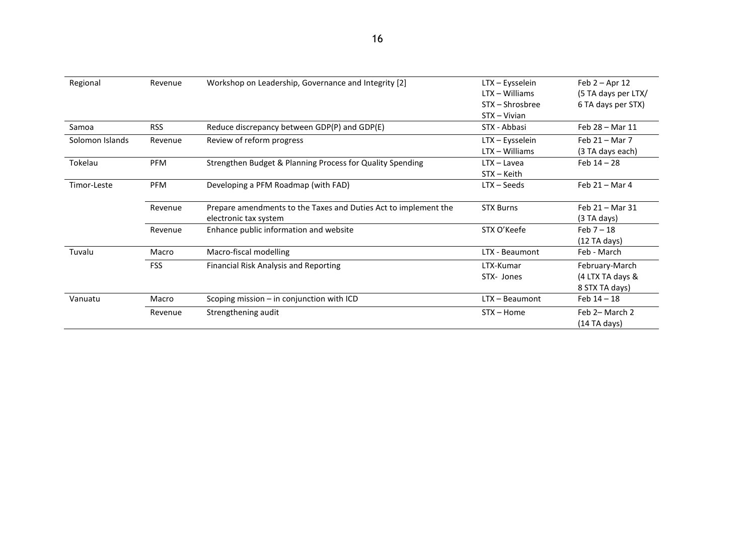| Regional        | Revenue    | Workshop on Leadership, Governance and Integrity [2]                                     | LTX – Eysselein<br>LTX - Williams<br>STX – Shrosbree<br>STX - Vivian | Feb $2 -$ Apr 12<br>(5 TA days per LTX/<br>6 TA days per STX) |
|-----------------|------------|------------------------------------------------------------------------------------------|----------------------------------------------------------------------|---------------------------------------------------------------|
| Samoa           | <b>RSS</b> | Reduce discrepancy between GDP(P) and GDP(E)                                             | STX - Abbasi                                                         | Feb 28 - Mar 11                                               |
| Solomon Islands | Revenue    | Review of reform progress                                                                | LTX - Eysselein<br>$LTX - Williams$                                  | Feb $21 -$ Mar 7<br>(3 TA days each)                          |
| Tokelau         | <b>PFM</b> | Strengthen Budget & Planning Process for Quality Spending                                | $LTX - Lavea$<br>STX - Keith                                         | Feb $14 - 28$                                                 |
| Timor-Leste     | <b>PFM</b> | Developing a PFM Roadmap (with FAD)                                                      | $LTX - Seeds$                                                        | Feb $21 -$ Mar 4                                              |
|                 | Revenue    | Prepare amendments to the Taxes and Duties Act to implement the<br>electronic tax system | <b>STX Burns</b>                                                     | Feb $21 -$ Mar 31<br>(3 TA days)                              |
|                 | Revenue    | Enhance public information and website                                                   | STX O'Keefe                                                          | Feb $7-18$<br>$(12)$ TA days)                                 |
| Tuvalu          | Macro      | Macro-fiscal modelling                                                                   | LTX - Beaumont                                                       | Feb - March                                                   |
|                 | <b>FSS</b> | <b>Financial Risk Analysis and Reporting</b>                                             | LTX-Kumar<br>STX- Jones                                              | February-March<br>(4 LTX TA days &<br>8 STX TA days)          |
| Vanuatu         | Macro      | Scoping mission - in conjunction with ICD                                                | LTX - Beaumont                                                       | Feb $14 - 18$                                                 |
|                 | Revenue    | Strengthening audit                                                                      | $STX - Home$                                                         | Feb 2- March 2<br>$(14)$ TA days)                             |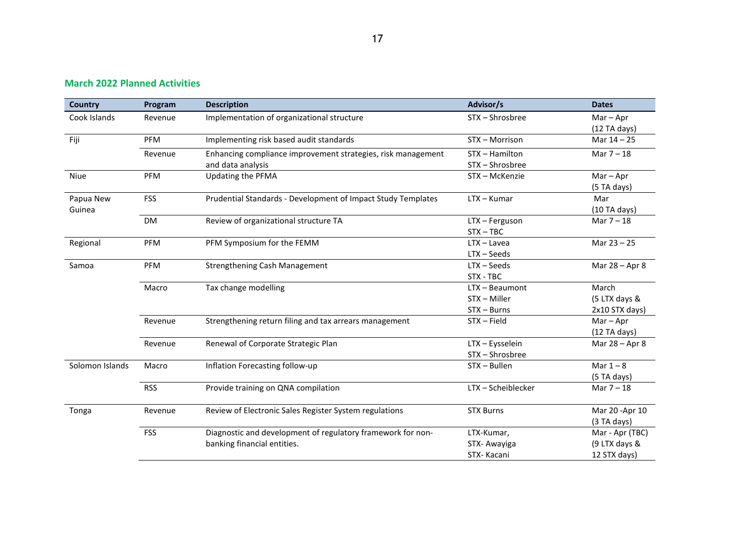### **March 2022 Planned Activities**

| <b>Country</b>  | Program    | <b>Description</b>                                           | Advisor/s          | <b>Dates</b>    |
|-----------------|------------|--------------------------------------------------------------|--------------------|-----------------|
| Cook Islands    | Revenue    | Implementation of organizational structure                   | STX - Shrosbree    | $Mar - Apr$     |
|                 |            |                                                              |                    | $(12)$ TA days) |
| Fiji            | <b>PFM</b> | Implementing risk based audit standards                      | STX - Morrison     | Mar $14 - 25$   |
|                 | Revenue    | Enhancing compliance improvement strategies, risk management | STX - Hamilton     | Mar $7 - 18$    |
|                 |            | and data analysis                                            | STX-Shrosbree      |                 |
| Niue            | PFM        | Updating the PFMA                                            | STX - McKenzie     | $Mar - Apr$     |
|                 |            |                                                              |                    | (5 TA days)     |
| Papua New       | <b>FSS</b> | Prudential Standards - Development of Impact Study Templates | $LTX - Kumar$      | Mar             |
| Guinea          |            |                                                              |                    | (10 TA days)    |
|                 | DM         | Review of organizational structure TA                        | LTX - Ferguson     | Mar $7 - 18$    |
|                 |            |                                                              | $STX - TBC$        |                 |
| Regional        | PFM        | PFM Symposium for the FEMM                                   | $LTX - Lavea$      | Mar 23 - 25     |
|                 |            |                                                              | $LTX - Seeds$      |                 |
| Samoa           | PFM        | <b>Strengthening Cash Management</b>                         | LTX - Seeds        | Mar 28 - Apr 8  |
|                 |            |                                                              | STX - TBC          |                 |
|                 | Macro      | Tax change modelling                                         | LTX - Beaumont     | March           |
|                 |            |                                                              | STX - Miller       | (5 LTX days &   |
|                 |            |                                                              | $STX - Burns$      | 2x10 STX days)  |
|                 | Revenue    | Strengthening return filing and tax arrears management       | STX-Field          | $Mar - Apr$     |
|                 |            |                                                              |                    | $(12)$ TA days) |
|                 | Revenue    | Renewal of Corporate Strategic Plan                          | LTX - Eysselein    | Mar 28 - Apr 8  |
|                 |            |                                                              | STX-Shrosbree      |                 |
| Solomon Islands | Macro      | Inflation Forecasting follow-up                              | STX - Bullen       | Mar $1 - 8$     |
|                 |            |                                                              |                    | (5 TA days)     |
|                 | <b>RSS</b> | Provide training on QNA compilation                          | LTX - Scheiblecker | Mar $7 - 18$    |
| Tonga           | Revenue    | Review of Electronic Sales Register System regulations       | <b>STX Burns</b>   | Mar 20 - Apr 10 |
|                 |            |                                                              |                    | (3 TA days)     |
|                 | <b>FSS</b> | Diagnostic and development of regulatory framework for non-  | LTX-Kumar,         | Mar - Apr (TBC) |
|                 |            | banking financial entities.                                  | STX-Awayiga        | (9 LTX days &   |
|                 |            |                                                              | STX-Kacani         | 12 STX days)    |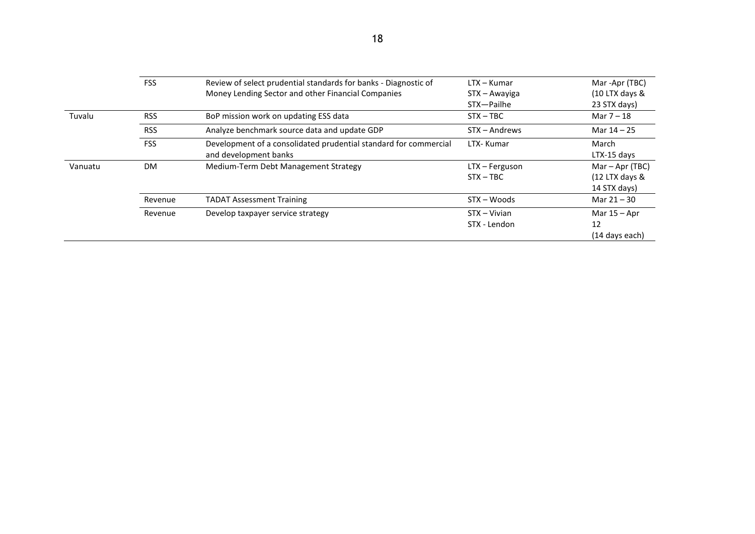|         | <b>FSS</b> |                                                                  |                |                     |
|---------|------------|------------------------------------------------------------------|----------------|---------------------|
|         |            | Review of select prudential standards for banks - Diagnostic of  | LTX - Kumar    | Mar -Apr (TBC)      |
|         |            | Money Lending Sector and other Financial Companies               | STX - Awayiga  | $(10$ LTX days $\&$ |
|         |            |                                                                  | STX-Pailhe     | 23 STX days)        |
| Tuvalu  | <b>RSS</b> | BoP mission work on updating ESS data                            | $STX - TBC$    | Mar $7 - 18$        |
|         | <b>RSS</b> | Analyze benchmark source data and update GDP                     | STX - Andrews  | Mar $14 - 25$       |
|         | <b>FSS</b> | Development of a consolidated prudential standard for commercial | LTX- Kumar     | March               |
|         |            | and development banks                                            |                | LTX-15 days         |
| Vanuatu | <b>DM</b>  | Medium-Term Debt Management Strategy                             | LTX - Ferguson | Mar – Apr (TBC)     |
|         |            |                                                                  | $STX - TBC$    | $(12$ LTX days $\&$ |
|         |            |                                                                  |                | 14 STX days)        |
|         | Revenue    | <b>TADAT Assessment Training</b>                                 | STX - Woods    | Mar 21 - 30         |
|         | Revenue    | Develop taxpayer service strategy                                | STX - Vivian   | Mar $15 -$ Apr      |
|         |            |                                                                  | STX - Lendon   | 12                  |
|         |            |                                                                  |                | (14 days each)      |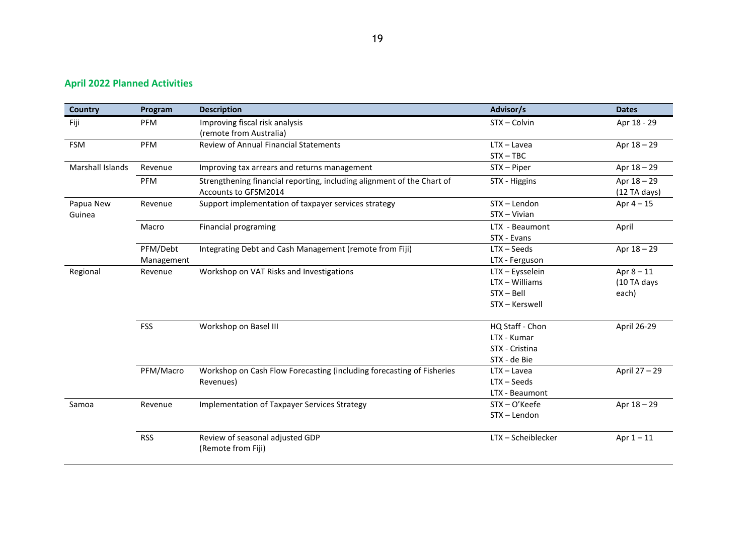# **April 2022 Planned Activities**

| Country          | Program    | <b>Description</b>                                                     | Advisor/s          | <b>Dates</b>    |
|------------------|------------|------------------------------------------------------------------------|--------------------|-----------------|
| Fiji             | PFM        | Improving fiscal risk analysis                                         | STX - Colvin       | Apr 18 - 29     |
|                  |            | (remote from Australia)                                                |                    |                 |
| <b>FSM</b>       | PFM        | <b>Review of Annual Financial Statements</b>                           | $LTX - Lavea$      | Apr 18 - 29     |
|                  |            |                                                                        | $STX - TBC$        |                 |
| Marshall Islands | Revenue    | Improving tax arrears and returns management                           | STX - Piper        | Apr 18 - 29     |
|                  | PFM        | Strengthening financial reporting, including alignment of the Chart of | STX - Higgins      | Apr 18 - 29     |
|                  |            | Accounts to GFSM2014                                                   |                    | $(12)$ TA days) |
| Papua New        | Revenue    | Support implementation of taxpayer services strategy                   | STX-Lendon         | Apr $4-15$      |
| Guinea           |            |                                                                        | STX - Vivian       |                 |
|                  | Macro      | <b>Financial programing</b>                                            | LTX - Beaumont     | April           |
|                  |            |                                                                        | STX - Evans        |                 |
|                  | PFM/Debt   | Integrating Debt and Cash Management (remote from Fiji)                | $LTX - Seeds$      | Apr 18 - 29     |
|                  | Management |                                                                        | LTX - Ferguson     |                 |
| Regional         | Revenue    | Workshop on VAT Risks and Investigations                               | LTX - Eysselein    | Apr $8 - 11$    |
|                  |            |                                                                        | LTX - Williams     | (10 TA days     |
|                  |            |                                                                        | STX-Bell           | each)           |
|                  |            |                                                                        | STX - Kerswell     |                 |
|                  | <b>FSS</b> | Workshop on Basel III                                                  | HQ Staff - Chon    | April 26-29     |
|                  |            |                                                                        | LTX - Kumar        |                 |
|                  |            |                                                                        | STX - Cristina     |                 |
|                  |            |                                                                        | STX - de Bie       |                 |
|                  | PFM/Macro  | Workshop on Cash Flow Forecasting (including forecasting of Fisheries  | $LTX - Lavea$      | April 27 - 29   |
|                  |            | Revenues)                                                              | $LTX - Seeds$      |                 |
|                  |            |                                                                        | LTX - Beaumont     |                 |
| Samoa            | Revenue    | Implementation of Taxpayer Services Strategy                           | STX-O'Keefe        | Apr 18 - 29     |
|                  |            |                                                                        | STX - Lendon       |                 |
|                  | <b>RSS</b> | Review of seasonal adjusted GDP                                        | LTX - Scheiblecker | Apr $1 - 11$    |
|                  |            | (Remote from Fiji)                                                     |                    |                 |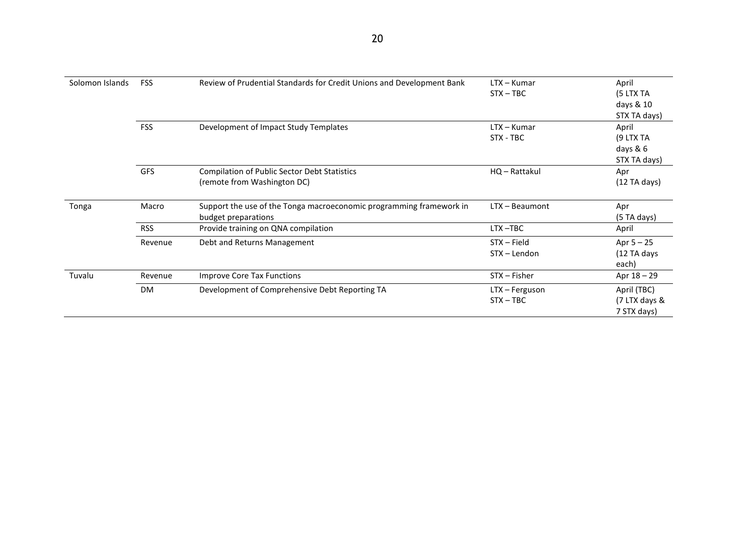| Solomon Islands | <b>FSS</b> | Review of Prudential Standards for Credit Unions and Development Bank | $LTX - Kumar$    | April           |
|-----------------|------------|-----------------------------------------------------------------------|------------------|-----------------|
|                 |            |                                                                       | $STX - TBC$      | (5 LTX TA       |
|                 |            |                                                                       |                  | days & 10       |
|                 |            |                                                                       |                  | STX TA days)    |
|                 | <b>FSS</b> | Development of Impact Study Templates                                 | $LTX - Kumar$    | April           |
|                 |            |                                                                       | STX - TBC        | (9 LTX TA       |
|                 |            |                                                                       |                  | days & 6        |
|                 |            |                                                                       |                  | STX TA days)    |
|                 | <b>GFS</b> | <b>Compilation of Public Sector Debt Statistics</b>                   | HQ - Rattakul    | Apr             |
|                 |            | (remote from Washington DC)                                           |                  | $(12)$ TA days) |
|                 |            |                                                                       |                  |                 |
| Tonga           | Macro      | Support the use of the Tonga macroeconomic programming framework in   | $LTX - Beaumont$ | Apr             |
|                 |            | budget preparations                                                   |                  | (5TA days)      |
|                 | <b>RSS</b> | Provide training on QNA compilation                                   | LTX-TBC          | April           |
|                 | Revenue    | Debt and Returns Management                                           | $STX - Field$    | Apr $5 - 25$    |
|                 |            |                                                                       | STX - Lendon     | (12 TA days     |
|                 |            |                                                                       |                  | each)           |
| Tuvalu          | Revenue    | Improve Core Tax Functions                                            | $STX - Fisher$   | Apr 18 - 29     |
|                 | <b>DM</b>  | Development of Comprehensive Debt Reporting TA                        | LTX - Ferguson   | April (TBC)     |
|                 |            |                                                                       | $STX - TBC$      | (7 LTX days &   |
|                 |            |                                                                       |                  | 7 STX days)     |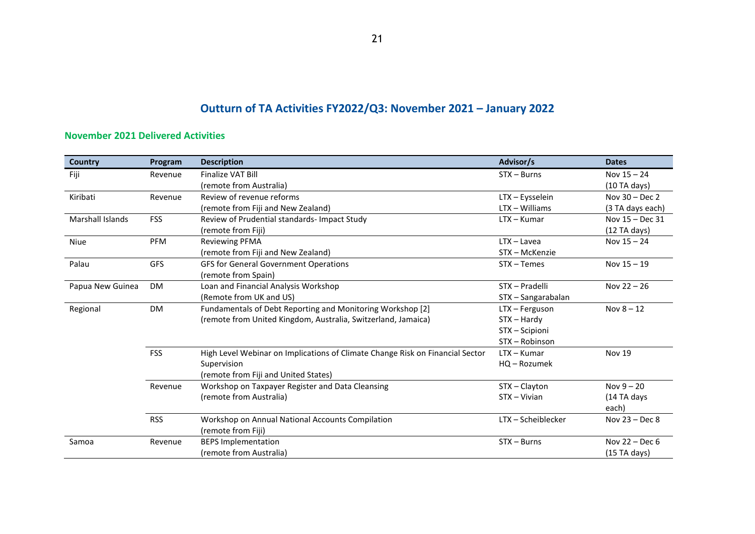# **Outturn of TA Activities FY2022/Q3: November 2021 – January 2022**

### **November 2021 Delivered Activities**

| <b>Country</b>   | Program    | <b>Description</b>                                                            | Advisor/s          | <b>Dates</b>      |
|------------------|------------|-------------------------------------------------------------------------------|--------------------|-------------------|
| Fiji             | Revenue    | Finalize VAT Bill                                                             | $STX - Burns$      | Nov $15 - 24$     |
|                  |            | (remote from Australia)                                                       |                    | (10TA days)       |
| Kiribati         | Revenue    | Review of revenue reforms                                                     | LTX - Eysselein    | Nov $30 - Dec 2$  |
|                  |            | (remote from Fiji and New Zealand)                                            | $LTX - Williams$   | (3 TA days each)  |
| Marshall Islands | <b>FSS</b> | Review of Prudential standards-Impact Study                                   | $LTX - Kumar$      | Nov $15 - Dec 31$ |
|                  |            | (remote from Fiji)                                                            |                    | $(12)$ TA days)   |
| <b>Niue</b>      | <b>PFM</b> | <b>Reviewing PFMA</b>                                                         | $LTX - Lavea$      | Nov $15 - 24$     |
|                  |            | (remote from Fiji and New Zealand)                                            | STX - McKenzie     |                   |
| Palau            | <b>GFS</b> | <b>GFS for General Government Operations</b>                                  | STX - Temes        | Nov $15 - 19$     |
|                  |            | (remote from Spain)                                                           |                    |                   |
| Papua New Guinea | <b>DM</b>  | Loan and Financial Analysis Workshop                                          | STX - Pradelli     | Nov $22 - 26$     |
|                  |            | (Remote from UK and US)                                                       | STX - Sangarabalan |                   |
| Regional         | <b>DM</b>  | Fundamentals of Debt Reporting and Monitoring Workshop [2]                    | LTX - Ferguson     | Nov $8 - 12$      |
|                  |            | (remote from United Kingdom, Australia, Switzerland, Jamaica)                 | $STX - Hardy$      |                   |
|                  |            |                                                                               | STX - Scipioni     |                   |
|                  |            |                                                                               | STX - Robinson     |                   |
|                  | <b>FSS</b> | High Level Webinar on Implications of Climate Change Risk on Financial Sector | $LTX - Kumar$      | <b>Nov 19</b>     |
|                  |            | Supervision                                                                   | HQ - Rozumek       |                   |
|                  |            | (remote from Fiji and United States)                                          |                    |                   |
|                  | Revenue    | Workshop on Taxpayer Register and Data Cleansing                              | STX-Clayton        | Nov $9 - 20$      |
|                  |            | (remote from Australia)                                                       | $STX - Vivian$     | (14 TA days       |
|                  |            |                                                                               |                    | each)             |
|                  | <b>RSS</b> | Workshop on Annual National Accounts Compilation                              | LTX - Scheiblecker | Nov $23 - Dec 8$  |
|                  |            | (remote from Fiji)                                                            |                    |                   |
| Samoa            | Revenue    | <b>BEPS Implementation</b>                                                    | $STX - Burns$      | Nov 22 - Dec 6    |
|                  |            | (remote from Australia)                                                       |                    | (15 TA days)      |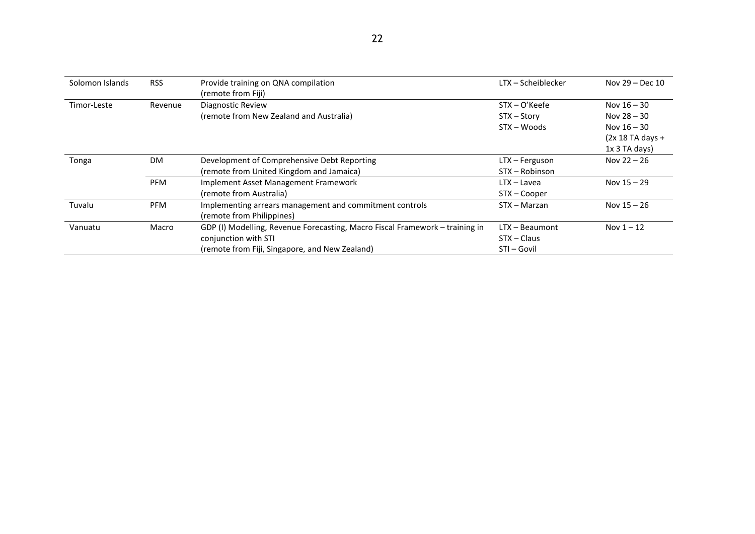| Solomon Islands | <b>RSS</b> | Provide training on QNA compilation<br>(remote from Fiji)                    | LTX – Scheiblecker | Nov $29 - Dec 10$  |
|-----------------|------------|------------------------------------------------------------------------------|--------------------|--------------------|
| Timor-Leste     | Revenue    | Diagnostic Review                                                            | $STX - O'Keefe$    | Nov $16 - 30$      |
|                 |            | (remote from New Zealand and Australia)                                      | STX - Story        | Nov $28 - 30$      |
|                 |            |                                                                              | $STX - Woods$      | Nov $16 - 30$      |
|                 |            |                                                                              |                    | $(2x 18 TA days +$ |
|                 |            |                                                                              |                    | $1x$ 3 TA days)    |
| Tonga           | <b>DM</b>  | Development of Comprehensive Debt Reporting                                  | LTX - Ferguson     | Nov $22 - 26$      |
|                 |            | (remote from United Kingdom and Jamaica)                                     | STX - Robinson     |                    |
|                 | <b>PFM</b> | Implement Asset Management Framework                                         | $LTX - Lavea$      | Nov $15 - 29$      |
|                 |            | (remote from Australia)                                                      | STX - Cooper       |                    |
| Tuvalu          | <b>PFM</b> | Implementing arrears management and commitment controls                      | STX - Marzan       | Nov $15 - 26$      |
|                 |            | (remote from Philippines)                                                    |                    |                    |
| Vanuatu         | Macro      | GDP (I) Modelling, Revenue Forecasting, Macro Fiscal Framework - training in | $LTX - Beaumont$   | Nov $1 - 12$       |
|                 |            | conjunction with STI                                                         | STX – Claus        |                    |
|                 |            | (remote from Fiji, Singapore, and New Zealand)                               | STI - Govil        |                    |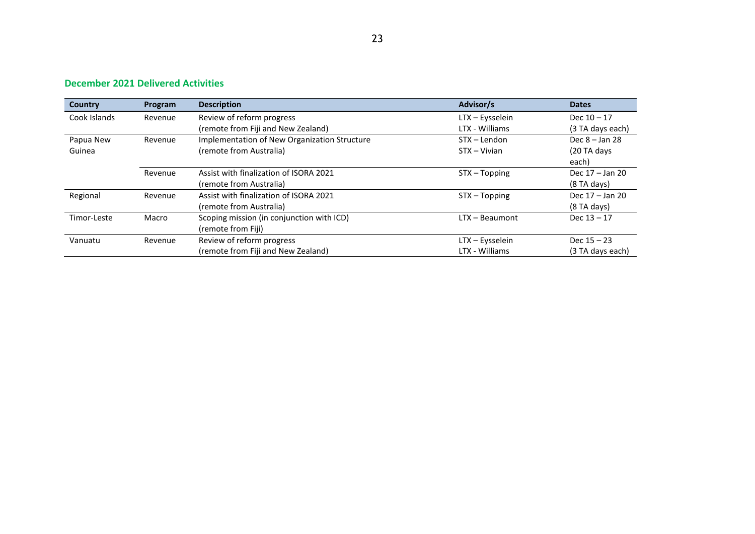### **December 2021 Delivered Activities**

| Country      | Program | <b>Description</b>                           | Advisor/s        | <b>Dates</b>     |
|--------------|---------|----------------------------------------------|------------------|------------------|
| Cook Islands | Revenue | Review of reform progress                    | LTX - Eysselein  | Dec $10 - 17$    |
|              |         | (remote from Fiji and New Zealand)           | LTX - Williams   | (3 TA days each) |
| Papua New    | Revenue | Implementation of New Organization Structure | STX - Lendon     | Dec $8 -$ Jan 28 |
| Guinea       |         | (remote from Australia)                      | STX – Vivian     | (20 TA days      |
|              |         |                                              |                  | each)            |
|              | Revenue | Assist with finalization of ISORA 2021       | STX - Topping    | Dec 17 - Jan 20  |
|              |         | (remote from Australia)                      |                  | $(8$ TA days)    |
| Regional     | Revenue | Assist with finalization of ISORA 2021       | STX - Topping    | Dec 17 - Jan 20  |
|              |         | (remote from Australia)                      |                  | $(8$ TA days)    |
| Timor-Leste  | Macro   | Scoping mission (in conjunction with ICD)    | $LTX - Beaumont$ | Dec $13 - 17$    |
|              |         | (remote from Fiji)                           |                  |                  |
| Vanuatu      | Revenue | Review of reform progress                    | LTX - Eysselein  | Dec $15 - 23$    |
|              |         | (remote from Fiji and New Zealand)           | LTX - Williams   | (3 TA days each) |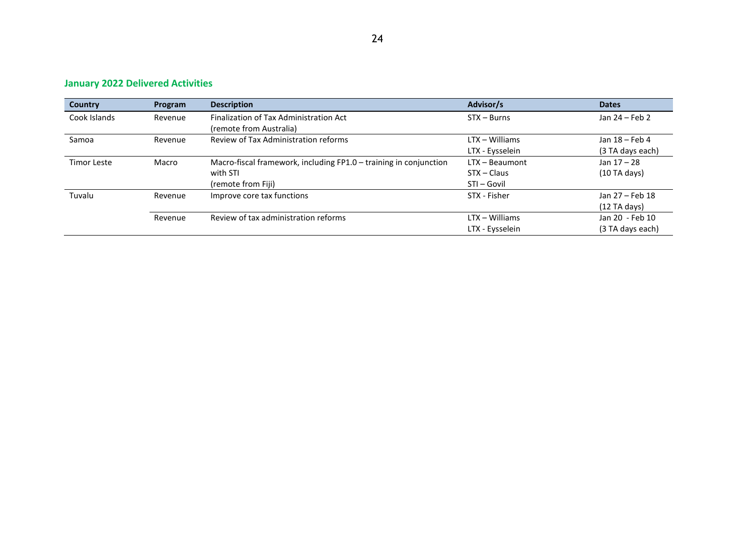| <b>Country</b>     | Program | <b>Description</b>                                                | Advisor/s        | <b>Dates</b>     |
|--------------------|---------|-------------------------------------------------------------------|------------------|------------------|
| Cook Islands       | Revenue | Finalization of Tax Administration Act                            | $STX - Burns$    | Jan 24 – Feb 2   |
|                    |         | (remote from Australia)                                           |                  |                  |
| Samoa              | Revenue | Review of Tax Administration reforms                              | $LTX - Williams$ | Jan 18 - Feb 4   |
|                    |         |                                                                   | LTX - Eysselein  | (3 TA days each) |
| <b>Timor Leste</b> | Macro   | Macro-fiscal framework, including FP1.0 - training in conjunction | $LTX - Beaumont$ | Jan $17 - 28$    |
|                    |         | with STI                                                          | $STX - Class$    | (10TA days)      |
|                    |         | (remote from Fiji)                                                | STI - Govil      |                  |
| Tuvalu             | Revenue | Improve core tax functions                                        | STX - Fisher     | Jan 27 - Feb 18  |
|                    |         |                                                                   |                  | $(12)$ TA days)  |
|                    | Revenue | Review of tax administration reforms                              | $LTX - Williams$ | Jan 20 - Feb 10  |
|                    |         |                                                                   | LTX - Eysselein  | (3 TA days each) |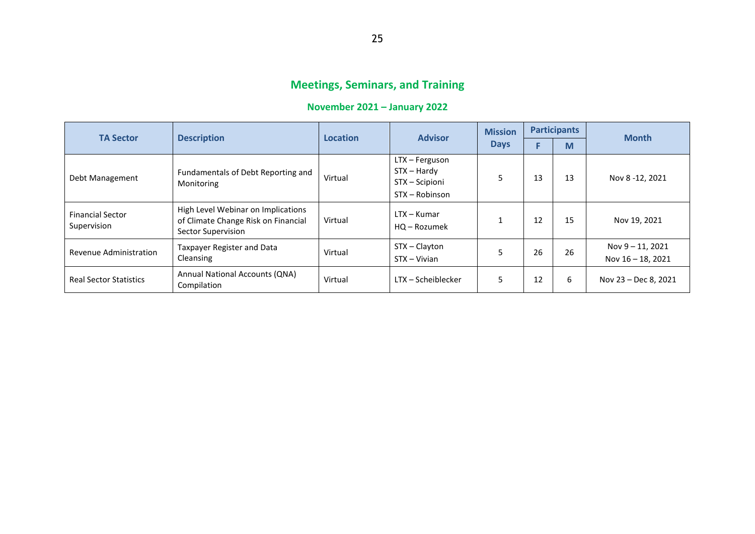# **Meetings, Seminars, and Training**

# **November 2021 – January 2022**

| <b>TA Sector</b>                       | <b>Description</b>                                                                              | <b>Location</b> | <b>Advisor</b>                                                      | <b>Mission</b><br><b>Days</b> | <b>Participants</b> |    |                                       |
|----------------------------------------|-------------------------------------------------------------------------------------------------|-----------------|---------------------------------------------------------------------|-------------------------------|---------------------|----|---------------------------------------|
|                                        |                                                                                                 |                 |                                                                     |                               |                     | M  | <b>Month</b>                          |
| Debt Management                        | Fundamentals of Debt Reporting and<br>Monitoring                                                | Virtual         | LTX - Ferguson<br>$STX - Hardy$<br>STX - Scipioni<br>STX - Robinson |                               | 13                  | 13 | Nov 8 -12, 2021                       |
| <b>Financial Sector</b><br>Supervision | High Level Webinar on Implications<br>of Climate Change Risk on Financial<br>Sector Supervision | Virtual         | $LTX - Kumar$<br>HQ - Rozumek                                       |                               | 12                  | 15 | Nov 19, 2021                          |
| Revenue Administration                 | Taxpayer Register and Data<br>Cleansing                                                         | Virtual         | STX-Clayton<br>STX - Vivian                                         |                               | 26                  | 26 | Nov 9 - 11, 2021<br>Nov 16 - 18, 2021 |
| <b>Real Sector Statistics</b>          | Annual National Accounts (QNA)<br>Compilation                                                   | Virtual         | LTX – Scheiblecker                                                  | 5                             | 12                  | 6  | Nov 23 - Dec 8, 2021                  |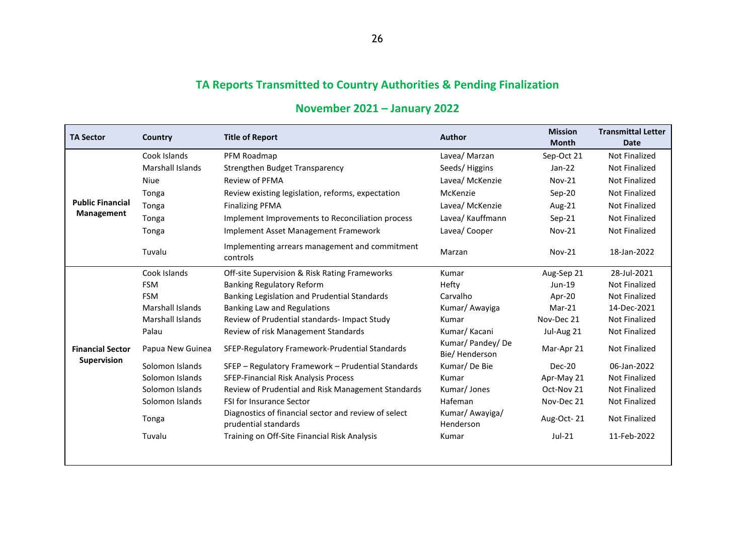# **TA Reports Transmitted to Country Authorities & Pending Finalization**

| <b>TA Sector</b>                       | Country                 | <b>Title of Report</b>                                                       | <b>Author</b>                       | <b>Mission</b><br><b>Month</b> | <b>Transmittal Letter</b><br><b>Date</b> |
|----------------------------------------|-------------------------|------------------------------------------------------------------------------|-------------------------------------|--------------------------------|------------------------------------------|
| <b>Public Financial</b><br>Management  | Cook Islands            | PFM Roadmap                                                                  | Lavea/ Marzan                       | Sep-Oct 21                     | <b>Not Finalized</b>                     |
|                                        | <b>Marshall Islands</b> | Strengthen Budget Transparency                                               | Seeds/Higgins                       | $Jan-22$                       | <b>Not Finalized</b>                     |
|                                        | Niue                    | <b>Review of PFMA</b>                                                        | Lavea/ McKenzie                     | <b>Nov-21</b>                  | Not Finalized                            |
|                                        | Tonga                   | Review existing legislation, reforms, expectation                            | McKenzie                            | $Sep-20$                       | <b>Not Finalized</b>                     |
|                                        | Tonga                   | <b>Finalizing PFMA</b>                                                       | Lavea/ McKenzie                     | Aug-21                         | Not Finalized                            |
|                                        | Tonga                   | Implement Improvements to Reconciliation process                             | Lavea/ Kauffmann                    | $Sep-21$                       | <b>Not Finalized</b>                     |
|                                        | Tonga                   | Implement Asset Management Framework                                         | Lavea/Cooper                        | <b>Nov-21</b>                  | Not Finalized                            |
|                                        | Tuvalu                  | Implementing arrears management and commitment<br>controls                   | Marzan                              | <b>Nov-21</b>                  | 18-Jan-2022                              |
| <b>Financial Sector</b><br>Supervision | Cook Islands            | Off-site Supervision & Risk Rating Frameworks                                | Kumar                               | Aug-Sep 21                     | 28-Jul-2021                              |
|                                        | <b>FSM</b>              | <b>Banking Regulatory Reform</b>                                             | Hefty                               | Jun-19                         | Not Finalized                            |
|                                        | <b>FSM</b>              | Banking Legislation and Prudential Standards                                 | Carvalho                            | Apr-20                         | Not Finalized                            |
|                                        | <b>Marshall Islands</b> | Banking Law and Regulations                                                  | Kumar/ Awayiga                      | $Mar-21$                       | 14-Dec-2021                              |
|                                        | Marshall Islands        | Review of Prudential standards- Impact Study                                 | Kumar                               | Nov-Dec 21                     | <b>Not Finalized</b>                     |
|                                        | Palau                   | Review of risk Management Standards                                          | Kumar/Kacani                        | Jul-Aug 21                     | Not Finalized                            |
|                                        | Papua New Guinea        | SFEP-Regulatory Framework-Prudential Standards                               | Kumar/ Pandey/ De<br>Bie/ Henderson | Mar-Apr 21                     | <b>Not Finalized</b>                     |
|                                        | Solomon Islands         | SFEP - Regulatory Framework - Prudential Standards                           | Kumar/De Bie                        | Dec-20                         | 06-Jan-2022                              |
|                                        | Solomon Islands         | SFEP-Financial Risk Analysis Process                                         | Kumar                               | Apr-May 21                     | <b>Not Finalized</b>                     |
|                                        | Solomon Islands         | Review of Prudential and Risk Management Standards                           | Kumar/Jones                         | Oct-Nov 21                     | Not Finalized                            |
|                                        | Solomon Islands         | <b>FSI for Insurance Sector</b>                                              | Hafeman                             | Nov-Dec 21                     | Not Finalized                            |
|                                        | Tonga                   | Diagnostics of financial sector and review of select<br>prudential standards | Kumar/ Awayiga/<br>Henderson        | Aug-Oct-21                     | <b>Not Finalized</b>                     |
|                                        | Tuvalu                  | Training on Off-Site Financial Risk Analysis                                 | Kumar                               | $Jul-21$                       | 11-Feb-2022                              |
|                                        |                         |                                                                              |                                     |                                |                                          |

# **November 2021 – January 2022**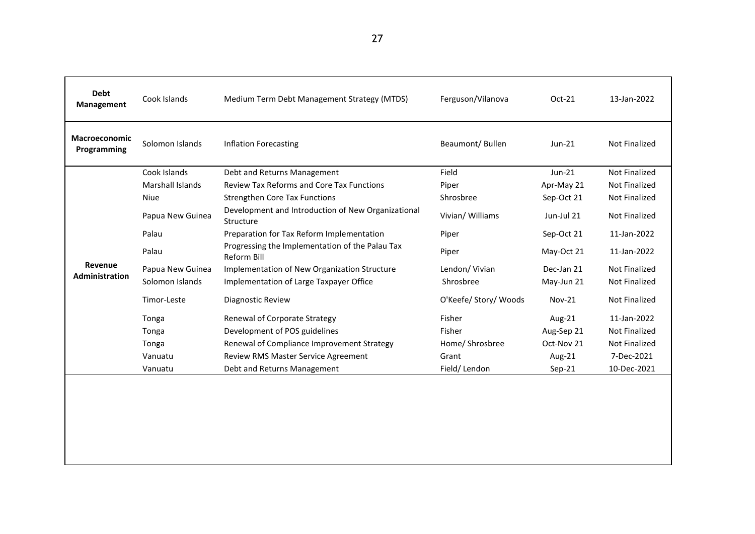| Debt<br>Management               | Cook Islands     | Medium Term Debt Management Strategy (MTDS)<br>Ferguson/Vilanova |                       | Oct-21        | 13-Jan-2022          |
|----------------------------------|------------------|------------------------------------------------------------------|-----------------------|---------------|----------------------|
| Macroeconomic<br>Programming     | Solomon Islands  | <b>Inflation Forecasting</b>                                     | Beaumont/Bullen       | $Jun-21$      | <b>Not Finalized</b> |
|                                  | Cook Islands     | Debt and Returns Management                                      | Field                 | Jun-21        | Not Finalized        |
|                                  | Marshall Islands | <b>Review Tax Reforms and Core Tax Functions</b>                 | Piper                 | Apr-May 21    | <b>Not Finalized</b> |
|                                  | <b>Niue</b>      | <b>Strengthen Core Tax Functions</b>                             | Shrosbree             | Sep-Oct 21    | Not Finalized        |
| Revenue<br><b>Administration</b> | Papua New Guinea | Development and Introduction of New Organizational<br>Structure  | Vivian/ Williams      | Jun-Jul 21    | Not Finalized        |
|                                  | Palau            | Preparation for Tax Reform Implementation                        | Piper                 | Sep-Oct 21    | 11-Jan-2022          |
|                                  | Palau            | Progressing the Implementation of the Palau Tax<br>Reform Bill   | Piper                 | May-Oct 21    | 11-Jan-2022          |
|                                  | Papua New Guinea | Implementation of New Organization Structure                     | Lendon/ Vivian        | Dec-Jan 21    | Not Finalized        |
|                                  | Solomon Islands  | Implementation of Large Taxpayer Office                          | Shrosbree             | May-Jun 21    | Not Finalized        |
|                                  | Timor-Leste      | Diagnostic Review                                                | O'Keefe/ Story/ Woods | <b>Nov-21</b> | <b>Not Finalized</b> |
|                                  | Tonga            | Renewal of Corporate Strategy                                    | Fisher                | Aug-21        | 11-Jan-2022          |
|                                  | Tonga            | Development of POS guidelines                                    | Fisher                | Aug-Sep 21    | Not Finalized        |
|                                  | Tonga            | Renewal of Compliance Improvement Strategy                       | Home/ Shrosbree       | Oct-Nov 21    | Not Finalized        |
|                                  | Vanuatu          | Review RMS Master Service Agreement                              | Grant                 | Aug-21        | 7-Dec-2021           |
|                                  | Vanuatu          | Debt and Returns Management                                      | Field/Lendon          | $Sep-21$      | 10-Dec-2021          |
|                                  |                  |                                                                  |                       |               |                      |